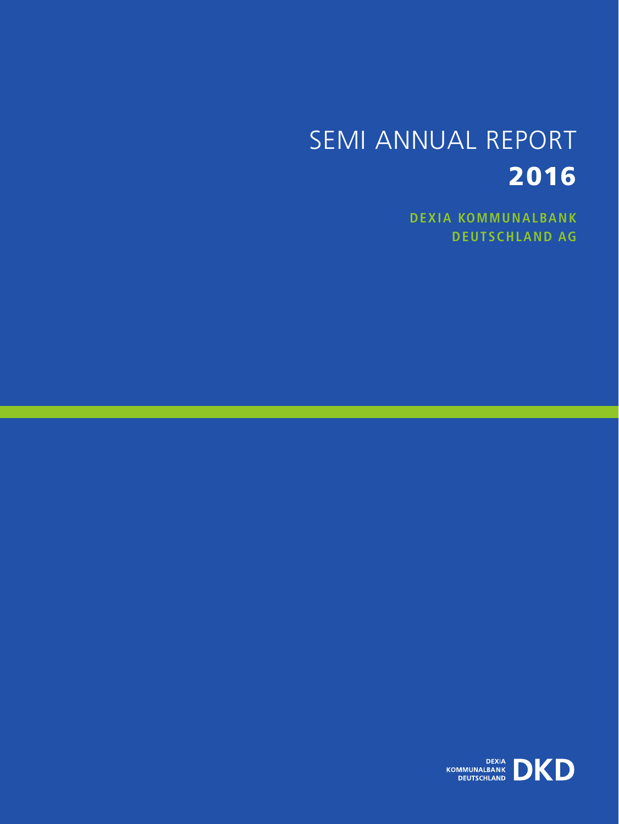# SEMI ANNUAL REPORT 2016

**Dexia kommunalbank deutschland ag**

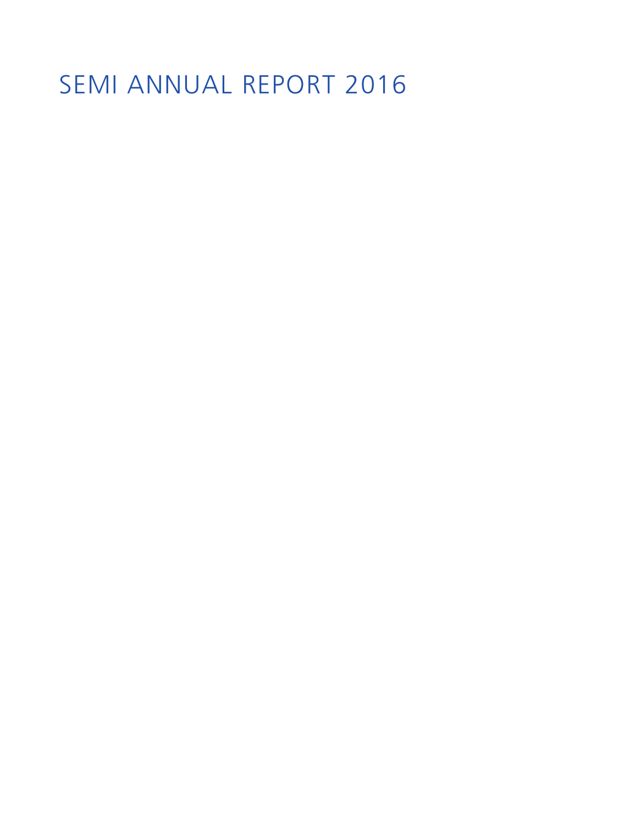# SEMI ANNUAL REPORT 2016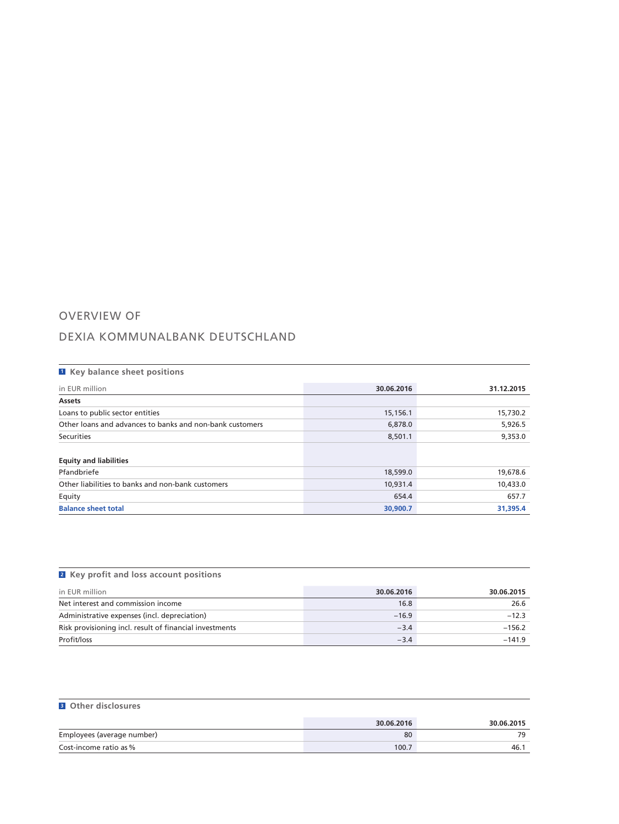## OVERVIEW OF

## DEXIA KOMMUNALBANK DEUTSCHLAND

| <b>E</b> Key balance sheet positions                     |            |            |
|----------------------------------------------------------|------------|------------|
| in EUR million                                           | 30.06.2016 | 31.12.2015 |
| Assets                                                   |            |            |
| Loans to public sector entities                          | 15,156.1   | 15,730.2   |
| Other loans and advances to banks and non-bank customers | 6,878.0    | 5,926.5    |
| Securities                                               | 8,501.1    | 9,353.0    |
|                                                          |            |            |
| <b>Equity and liabilities</b>                            |            |            |
| Pfandbriefe                                              | 18,599.0   | 19,678.6   |
| Other liabilities to banks and non-bank customers        | 10,931.4   | 10,433.0   |
| Equity                                                   | 654.4      | 657.7      |
| <b>Balance sheet total</b>                               | 30,900.7   | 31.395.4   |

| <b>2</b> Key profit and loss account positions          |            |            |
|---------------------------------------------------------|------------|------------|
| in EUR million                                          | 30.06.2016 | 30.06.2015 |
| Net interest and commission income                      | 16.8       | 26.6       |
| Administrative expenses (incl. depreciation)            | $-16.9$    | $-12.3$    |
| Risk provisioning incl. result of financial investments | $-3.4$     | $-156.2$   |
| Profit/loss                                             | $-3.4$     | $-141.9$   |

### **<sup>3</sup> Other disclosures**

|                            | 30.06.2016 | 30.06.2015 |
|----------------------------|------------|------------|
| Employees (average number) | 80         | 70         |
| Cost-income ratio as %     | 100.7      | -46. .     |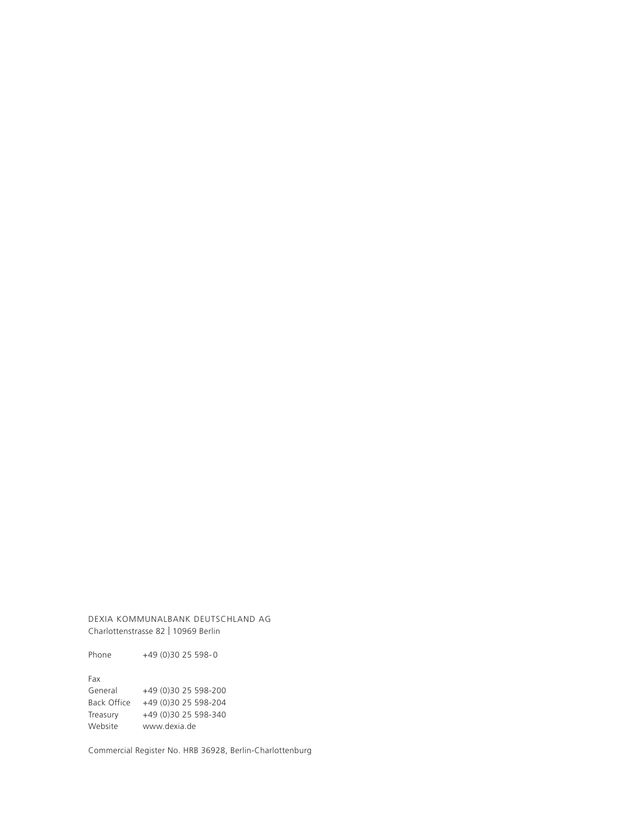DEXIA KOMMUNALBANK DEUTSCHLAND AG Charlottenstrasse 82 | 10969 Berlin

Phone +49 (0)30 25 598-0

Fax General +49 (0)30 25 598-200 Back Office +49 (0)30 25 598-204 Treasury +49 (0)30 25 598-340 Website www.dexia.de

Commercial Register No. HRB 36928, Berlin-Charlottenburg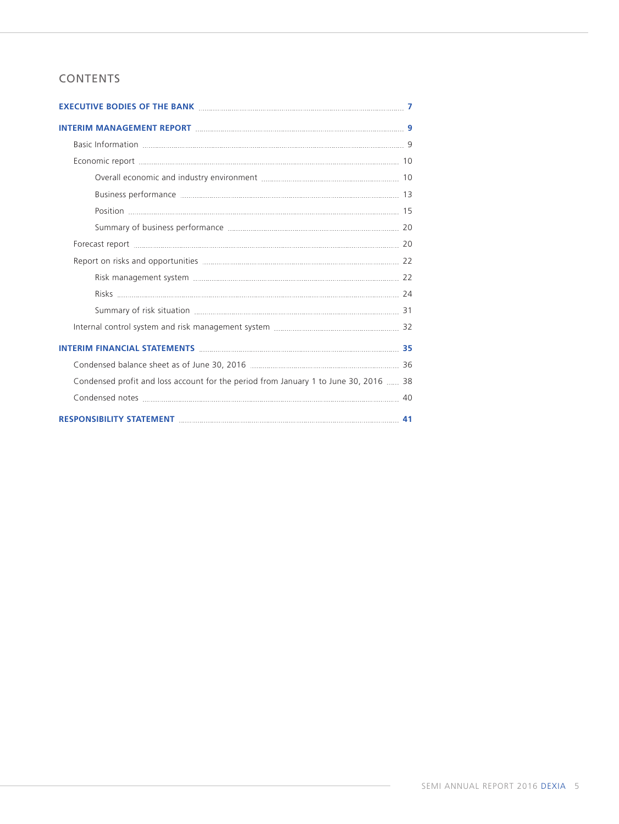## CONTENTS

| Condensed profit and loss account for the period from January 1 to June 30, 2016  38 |    |
|--------------------------------------------------------------------------------------|----|
|                                                                                      |    |
| RESPONSIBILITY STATEMENT MARKET MARKET AND THE RESPONSIBILITY STATEMENT              | 41 |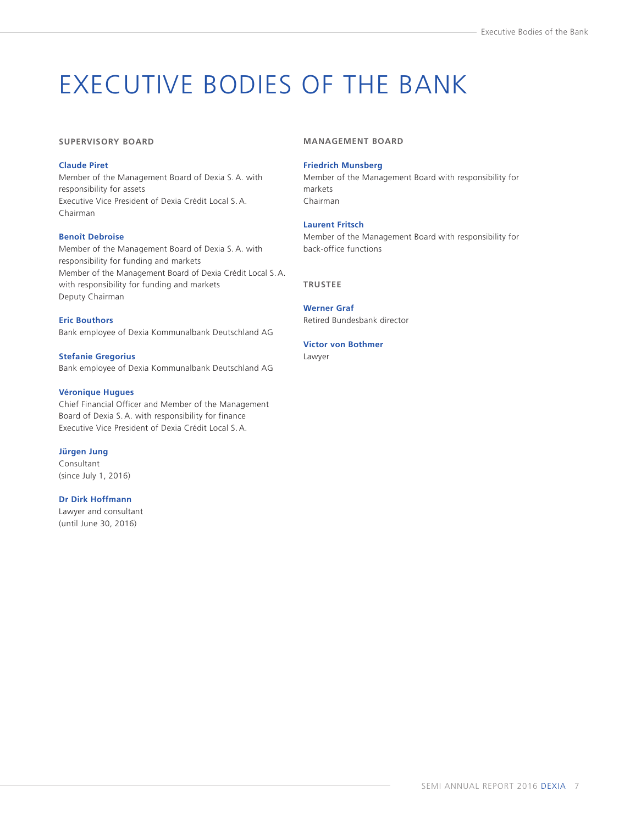# <span id="page-8-0"></span>EXECUTIVE BODIES OF THE BANK

#### **SUPERVISORY BOARD**

#### **Claude Piret**

Member of the Management Board of Dexia S. A. with responsibility for assets Executive Vice President of Dexia Crédit Local S. A. Chairman

#### **Benoît Debroise**

Member of the Management Board of Dexia S. A. with responsibility for funding and markets Member of the Management Board of Dexia Crédit Local S.A. with responsibility for funding and markets Deputy Chairman

**Eric Bouthors** Bank employee of Dexia Kommunalbank Deutschland AG

**Stefanie Gregorius** Bank employee of Dexia Kommunalbank Deutschland AG

#### **Véronique Hugues**

Chief Financial Officer and Member of the Management Board of Dexia S. A. with responsibility for finance Executive Vice President of Dexia Crédit Local S. A.

**Jürgen Jung** 

Consultant (since July 1, 2016)

#### **Dr Dirk Hoffmann**

Lawyer and consultant (until June 30, 2016)

#### **MANAGEMENT BOARD**

#### **Friedrich Munsberg**

Member of the Management Board with responsibility for markets Chairman

#### **Laurent Fritsch**

Member of the Management Board with responsibility for back-office functions

**TRUSTEE**

**Werner Graf** Retired Bundesbank director

#### **Victor von Bothmer**

Lawyer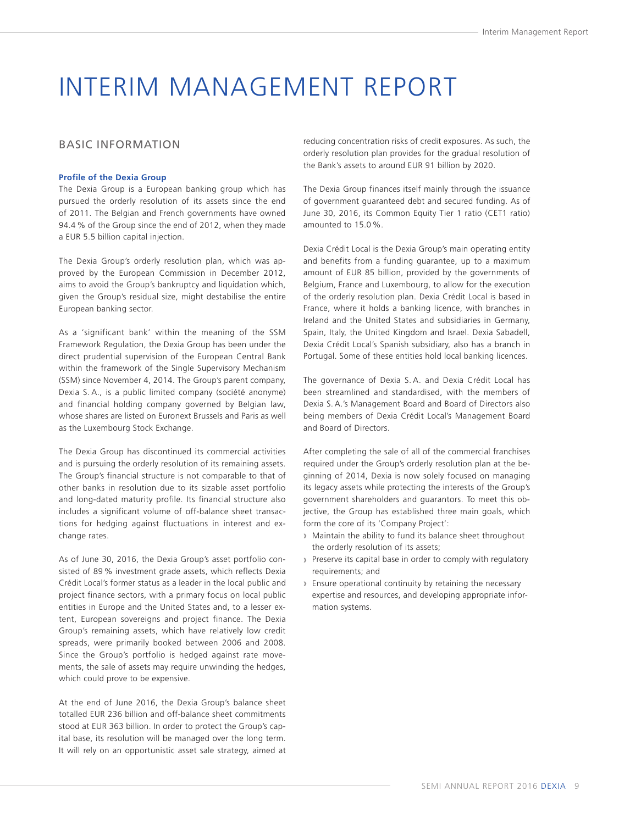## <span id="page-10-0"></span>INTERIM MANAGEMENT REPORT

### BASIC INFORMATION

#### **Profile of the Dexia Group**

The Dexia Group is a European banking group which has pursued the orderly resolution of its assets since the end of 2011. The Belgian and French governments have owned 94.4 % of the Group since the end of 2012, when they made a EUR 5.5 billion capital injection.

The Dexia Group's orderly resolution plan, which was approved by the European Commission in December 2012, aims to avoid the Group's bankruptcy and liquidation which, given the Group's residual size, might destabilise the entire European banking sector.

As a 'significant bank' within the meaning of the SSM Framework Regulation, the Dexia Group has been under the direct prudential supervision of the European Central Bank within the framework of the Single Supervisory Mechanism (SSM) since November 4, 2014. The Group's parent company, Dexia S. A., is a public limited company (société anonyme) and financial holding company governed by Belgian law, whose shares are listed on Euronext Brussels and Paris as well as the Luxembourg Stock Exchange.

The Dexia Group has discontinued its commercial activities and is pursuing the orderly resolution of its remaining assets. The Group's financial structure is not comparable to that of other banks in resolution due to its sizable asset portfolio and long-dated maturity profile. Its financial structure also includes a significant volume of off-balance sheet transactions for hedging against fluctuations in interest and exchange rates.

As of June 30, 2016, the Dexia Group's asset portfolio consisted of 89 % investment grade assets, which reflects Dexia Crédit Local's former status as a leader in the local public and project finance sectors, with a primary focus on local public entities in Europe and the United States and, to a lesser extent, European sovereigns and project finance. The Dexia Group's remaining assets, which have relatively low credit spreads, were primarily booked between 2006 and 2008. Since the Group's portfolio is hedged against rate movements, the sale of assets may require unwinding the hedges, which could prove to be expensive.

At the end of June 2016, the Dexia Group's balance sheet totalled EUR 236 billion and off-balance sheet commitments stood at EUR 363 billion. In order to protect the Group's capital base, its resolution will be managed over the long term. It will rely on an opportunistic asset sale strategy, aimed at reducing concentration risks of credit exposures. As such, the orderly resolution plan provides for the gradual resolution of the Bank's assets to around EUR 91 billion by 2020.

The Dexia Group finances itself mainly through the issuance of government guaranteed debt and secured funding. As of June 30, 2016, its Common Equity Tier 1 ratio (CET1 ratio) amounted to 15.0 %.

Dexia Crédit Local is the Dexia Group's main operating entity and benefits from a funding guarantee, up to a maximum amount of EUR 85 billion, provided by the governments of Belgium, France and Luxembourg, to allow for the execution of the orderly resolution plan. Dexia Crédit Local is based in France, where it holds a banking licence, with branches in Ireland and the United States and subsidiaries in Germany, Spain, Italy, the United Kingdom and Israel. Dexia Sabadell, Dexia Crédit Local's Spanish subsidiary, also has a branch in Portugal. Some of these entities hold local banking licences.

The governance of Dexia S. A. and Dexia Crédit Local has been streamlined and standardised, with the members of Dexia S. A.'s Management Board and Board of Directors also being members of Dexia Crédit Local's Management Board and Board of Directors.

After completing the sale of all of the commercial franchises required under the Group's orderly resolution plan at the beginning of 2014, Dexia is now solely focused on managing its legacy assets while protecting the interests of the Group's government shareholders and guarantors. To meet this objective, the Group has established three main goals, which form the core of its 'Company Project':

- **›** Maintain the ability to fund its balance sheet throughout the orderly resolution of its assets;
- **›** Preserve its capital base in order to comply with regulatory requirements; and
- **›** Ensure operational continuity by retaining the necessary expertise and resources, and developing appropriate information systems.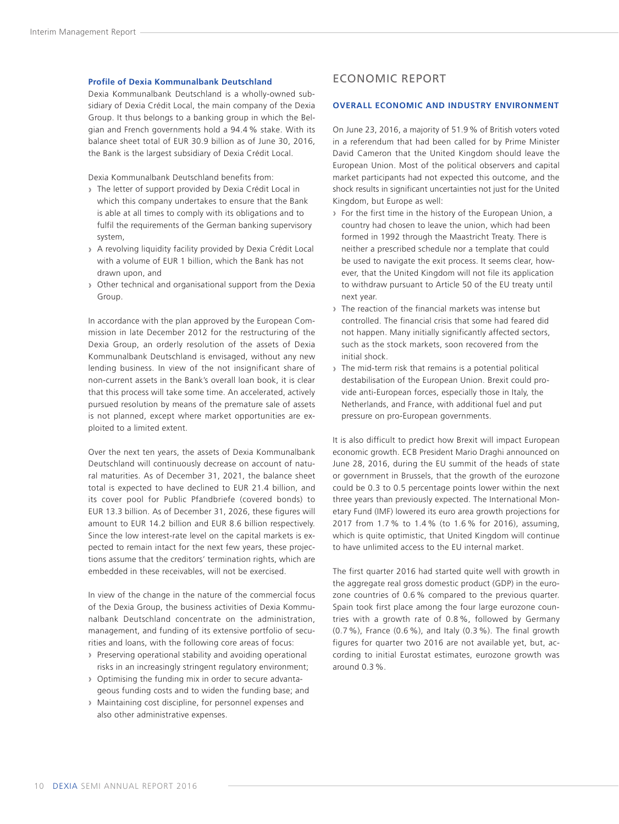#### <span id="page-11-0"></span>**Profile of Dexia Kommunalbank Deutschland**

Dexia Kommunalbank Deutschland is a wholly-owned subsidiary of Dexia Crédit Local, the main company of the Dexia Group. It thus belongs to a banking group in which the Belgian and French governments hold a 94.4 % stake. With its balance sheet total of EUR 30.9 billion as of June 30, 2016, the Bank is the largest subsidiary of Dexia Crédit Local.

Dexia Kommunalbank Deutschland benefits from:

- **›** The letter of support provided by Dexia Crédit Local in which this company undertakes to ensure that the Bank is able at all times to comply with its obligations and to fulfil the requirements of the German banking supervisory system,
- **›** A revolving liquidity facility provided by Dexia Crédit Local with a volume of EUR 1 billion, which the Bank has not drawn upon, and
- **›** Other technical and organisational support from the Dexia Group.

In accordance with the plan approved by the European Commission in late December 2012 for the restructuring of the Dexia Group, an orderly resolution of the assets of Dexia Kommunalbank Deutschland is envisaged, without any new lending business. In view of the not insignificant share of non-current assets in the Bank's overall loan book, it is clear that this process will take some time. An accelerated, actively pursued resolution by means of the premature sale of assets is not planned, except where market opportunities are exploited to a limited extent.

Over the next ten years, the assets of Dexia Kommunalbank Deutschland will continuously decrease on account of natural maturities. As of December 31, 2021, the balance sheet total is expected to have declined to EUR 21.4 billion, and its cover pool for Public Pfandbriefe (covered bonds) to EUR 13.3 billion. As of December 31, 2026, these figures will amount to EUR 14.2 billion and EUR 8.6 billion respectively. Since the low interest-rate level on the capital markets is expected to remain intact for the next few years, these projections assume that the creditors' termination rights, which are embedded in these receivables, will not be exercised.

In view of the change in the nature of the commercial focus of the Dexia Group, the business activities of Dexia Kommunalbank Deutschland concentrate on the administration, management, and funding of its extensive portfolio of securities and loans, with the following core areas of focus:

- **›** Preserving operational stability and avoiding operational risks in an increasingly stringent regulatory environment;
- **›** Optimising the funding mix in order to secure advantageous funding costs and to widen the funding base; and
- **›** Maintaining cost discipline, for personnel expenses and also other administrative expenses.

### ECONOMIC REPORT

#### **OVERALL ECONOMIC AND INDUSTRY ENVIRONMENT**

On June 23, 2016, a majority of 51.9% of British voters voted in a referendum that had been called for by Prime Minister David Cameron that the United Kingdom should leave the European Union. Most of the political observers and capital market participants had not expected this outcome, and the shock results in significant uncertainties not just for the United Kingdom, but Europe as well:

- **›** For the first time in the history of the European Union, a country had chosen to leave the union, which had been formed in 1992 through the Maastricht Treaty. There is neither a prescribed schedule nor a template that could be used to navigate the exit process. It seems clear, however, that the United Kingdom will not file its application to withdraw pursuant to Article 50 of the EU treaty until next year.
- **›** The reaction of the financial markets was intense but controlled. The financial crisis that some had feared did not happen. Many initially significantly affected sectors, such as the stock markets, soon recovered from the initial shock.
- **›** The mid-term risk that remains is a potential political destabilisation of the European Union. Brexit could provide anti-European forces, especially those in Italy, the Netherlands, and France, with additional fuel and put pressure on pro-European governments.

It is also difficult to predict how Brexit will impact European economic growth. ECB President Mario Draghi announced on June 28, 2016, during the EU summit of the heads of state or government in Brussels, that the growth of the eurozone could be 0.3 to 0.5 percentage points lower within the next three years than previously expected. The International Monetary Fund (IMF) lowered its euro area growth projections for 2017 from 1.7 % to 1.4 % (to 1.6 % for 2016), assuming, which is quite optimistic, that United Kingdom will continue to have unlimited access to the EU internal market.

The first quarter 2016 had started quite well with growth in the aggregate real gross domestic product (GDP) in the eurozone countries of 0.6 % compared to the previous quarter. Spain took first place among the four large eurozone countries with a growth rate of 0.8 %, followed by Germany (0.7 %), France (0.6 %), and Italy (0.3 %). The final growth figures for quarter two 2016 are not available yet, but, according to initial Eurostat estimates, eurozone growth was around 0.3 %.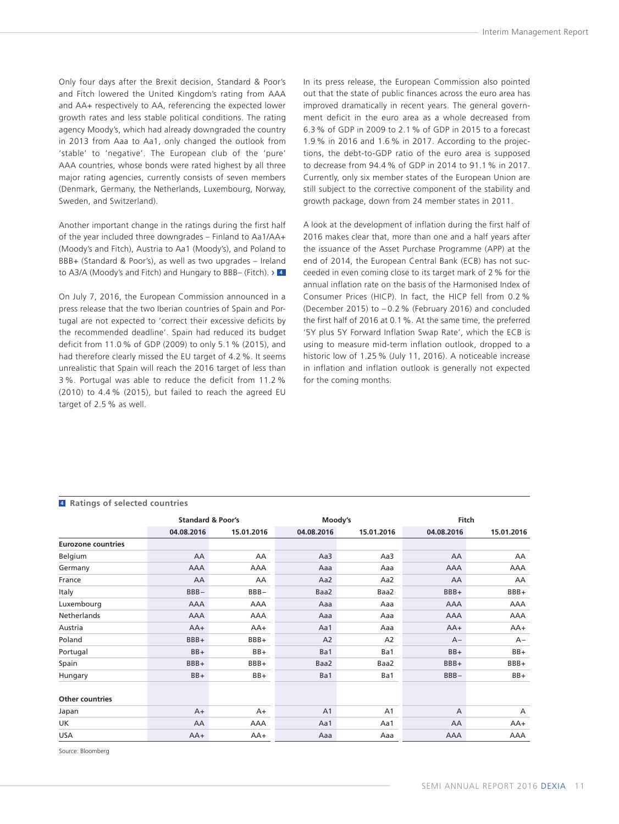Only four days after the Brexit decision, Standard & Poor's and Fitch lowered the United Kingdom's rating from AAA and AA+ respectively to AA, referencing the expected lower growth rates and less stable political conditions. The rating agency Moody's, which had already downgraded the country in 2013 from Aaa to Aa1, only changed the outlook from 'stable' to 'negative'. The European club of the 'pure' AAA countries, whose bonds were rated highest by all three major rating agencies, currently consists of seven members (Denmark, Germany, the Netherlands, Luxembourg, Norway, Sweden, and Switzerland).

Another important change in the ratings during the first half of the year included three downgrades – Finland to Aa1/AA+ (Moody's and Fitch), Austria to Aa1 (Moody's), and Poland to BBB+ (Standard & Poor's), as well as two upgrades – Ireland to A3/A (Moody's and Fitch) and Hungary to BBB– (Fitch). › **<sup>4</sup>**

On July 7, 2016, the European Commission announced in a press release that the two Iberian countries of Spain and Portugal are not expected to 'correct their excessive deficits by the recommended deadline'. Spain had reduced its budget deficit from 11.0 % of GDP (2009) to only 5.1 % (2015), and had therefore clearly missed the EU target of 4.2 %. It seems unrealistic that Spain will reach the 2016 target of less than 3 %. Portugal was able to reduce the deficit from 11.2 % (2010) to 4.4 % (2015), but failed to reach the agreed EU target of 2.5 % as well.

In its press release, the European Commission also pointed out that the state of public finances across the euro area has improved dramatically in recent years. The general government deficit in the euro area as a whole decreased from 6.3 % of GDP in 2009 to 2.1 % of GDP in 2015 to a forecast 1.9 % in 2016 and 1.6 % in 2017. According to the projections, the debt-to-GDP ratio of the euro area is supposed to decrease from 94.4 % of GDP in 2014 to 91.1 % in 2017. Currently, only six member states of the European Union are still subject to the corrective component of the stability and growth package, down from 24 member states in 2011.

A look at the development of inflation during the first half of 2016 makes clear that, more than one and a half years after the issuance of the Asset Purchase Programme (APP) at the end of 2014, the European Central Bank (ECB) has not succeeded in even coming close to its target mark of 2 % for the annual inflation rate on the basis of the Harmonised Index of Consumer Prices (HICP). In fact, the HICP fell from 0.2 % (December 2015) to – 0.2 % (February 2016) and concluded the first half of 2016 at 0.1%. At the same time, the preferred '5Y plus 5Y Forward Inflation Swap Rate', which the ECB is using to measure mid-term inflation outlook, dropped to a historic low of 1.25 % (July 11, 2016). A noticeable increase in inflation and inflation outlook is generally not expected for the coming months.

#### **<sup>4</sup> Ratings of selected countries**

|                           | <b>Standard &amp; Poor's</b> |            |                | Moody's        |            | <b>Fitch</b> |  |
|---------------------------|------------------------------|------------|----------------|----------------|------------|--------------|--|
|                           | 04.08.2016                   | 15.01.2016 | 04.08.2016     | 15.01.2016     | 04.08.2016 | 15.01.2016   |  |
| <b>Eurozone countries</b> |                              |            |                |                |            |              |  |
| Belgium                   | AA                           | AA         | Aa3            | Aa3            | AA         | AA           |  |
| Germany                   | AAA                          | AAA        | Aaa            | Aaa            | <b>AAA</b> | AAA          |  |
| France                    | AA                           | AA         | Aa2            | Aa2            | AA         | AA           |  |
| Italy                     | $BBB -$                      | $BBB -$    | Baa2           | Baa2           | $BBB+$     | BBB+         |  |
| Luxembourg                | <b>AAA</b>                   | AAA        | Aaa            | Aaa            | <b>AAA</b> | AAA          |  |
| <b>Netherlands</b>        | AAA                          | AAA        | Aaa            | Aaa            | AAA        | AAA          |  |
| Austria                   | $AA+$                        | $AA+$      | Aa1            | Aaa            | $AA+$      | $AA+$        |  |
| Poland                    | BBB+                         | BBB+       | A2             | A <sub>2</sub> | $A -$      | $A -$        |  |
| Portugal                  | $BB+$                        | $BB+$      | Ba1            | Ba1            | BB+        | BB+          |  |
| Spain                     | BBB+                         | BBB+       | Baa2           | Baa2           | BBB+       | BBB+         |  |
| Hungary                   | $BB+$                        | $BB+$      | Ba1            | Ba1            | $BBB -$    | BB+          |  |
| <b>Other countries</b>    |                              |            |                |                |            |              |  |
| Japan                     | $A+$                         | $A+$       | A <sub>1</sub> | A <sub>1</sub> | A          | A            |  |
| UK                        | AA                           | AAA        | Aa1            | Aa1            | AA         | AA+          |  |
| <b>USA</b>                | $AA+$                        | $AA+$      | Aaa            | Aaa            | <b>AAA</b> | AAA          |  |

Source: Bloomberg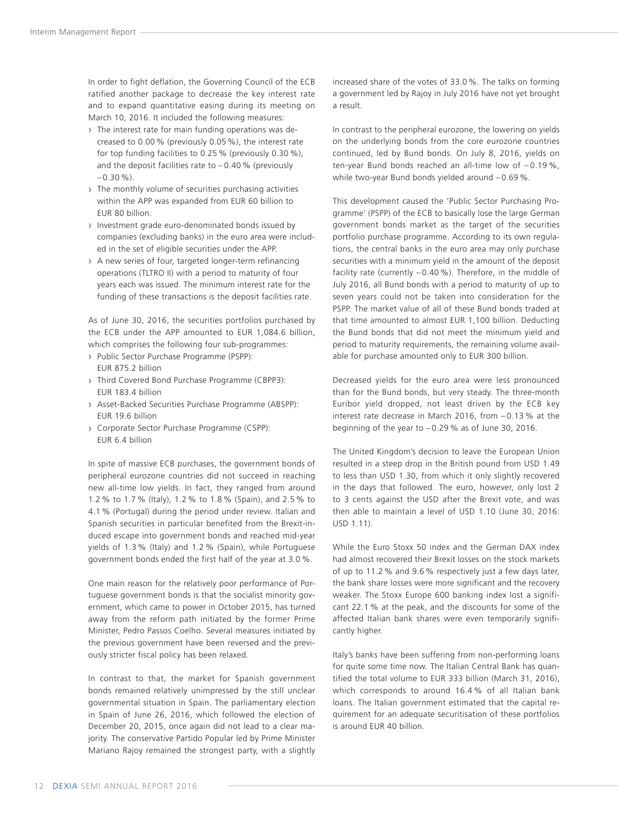In order to fight deflation, the Governing Council of the ECB ratified another package to decrease the key interest rate and to expand quantitative easing during its meeting on March 10, 2016. It included the following measures:

- **›** The interest rate for main funding operations was decreased to 0.00 % (previously 0.05 %), the interest rate for top funding facilities to 0.25 % (previously 0.30 %), and the deposit facilities rate to  $-0.40$  % (previously  $-0.30\%$ ).
- **›** The monthly volume of securities purchasing activities within the APP was expanded from EUR 60 billion to EUR 80 billion.
- **›** Investment grade euro-denominated bonds issued by companies (excluding banks) in the euro area were included in the set of eligible securities under the APP.
- **›** A new series of four, targeted longer-term refinancing operations (TLTRO II) with a period to maturity of four years each was issued. The minimum interest rate for the funding of these transactions is the deposit facilities rate.

As of June 30, 2016, the securities portfolios purchased by the ECB under the APP amounted to EUR 1,084.6 billion, which comprises the following four sub-programmes:

- **›** Public Sector Purchase Programme (PSPP): EUR 875.2 billion
- **›** Third Covered Bond Purchase Programme (CBPP3): EUR 183.4 billion
- **›** Asset-Backed Securities Purchase Programme (ABSPP): EUR 19.6 billion
- **›** Corporate Sector Purchase Programme (CSPP): EUR 6.4 billion

In spite of massive ECB purchases, the government bonds of peripheral eurozone countries did not succeed in reaching new all-time low yields. In fact, they ranged from around 1.2 % to 1.7 % (Italy), 1.2 % to 1.8 % (Spain), and 2.5 % to 4.1 % (Portugal) during the period under review. Italian and Spanish securities in particular benefited from the Brexit-induced escape into government bonds and reached mid-year yields of 1.3 % (Italy) and 1.2 % (Spain), while Portuguese government bonds ended the first half of the year at 3.0 %.

One main reason for the relatively poor performance of Portuguese government bonds is that the socialist minority government, which came to power in October 2015, has turned away from the reform path initiated by the former Prime Minister, Pedro Passos Coelho. Several measures initiated by the previous government have been reversed and the previously stricter fiscal policy has been relaxed.

In contrast to that, the market for Spanish government bonds remained relatively unimpressed by the still unclear governmental situation in Spain. The parliamentary election in Spain of June 26, 2016, which followed the election of December 20, 2015, once again did not lead to a clear majority. The conservative Partido Popular led by Prime Minister Mariano Rajoy remained the strongest party, with a slightly increased share of the votes of 33.0 %. The talks on forming a government led by Rajoy in July 2016 have not yet brought a result.

In contrast to the peripheral eurozone, the lowering on yields on the underlying bonds from the core eurozone countries continued, led by Bund bonds. On July 8, 2016, yields on ten-year Bund bonds reached an all-time low of – 0.19 %, while two-year Bund bonds yielded around – 0.69 %.

This development caused the 'Public Sector Purchasing Programme' (PSPP) of the ECB to basically lose the large German government bonds market as the target of the securities portfolio purchase programme. According to its own regulations, the central banks in the euro area may only purchase securities with a minimum yield in the amount of the deposit facility rate (currently – 0.40 %). Therefore, in the middle of July 2016, all Bund bonds with a period to maturity of up to seven years could not be taken into consideration for the PSPP. The market value of all of these Bund bonds traded at that time amounted to almost EUR 1,100 billion. Deducting the Bund bonds that did not meet the minimum yield and period to maturity requirements, the remaining volume available for purchase amounted only to EUR 300 billion.

Decreased yields for the euro area were less pronounced than for the Bund bonds, but very steady. The three-month Euribor yield dropped, not least driven by the ECB key interest rate decrease in March 2016, from – 0.13 % at the beginning of the year to  $-0.29$ % as of June 30, 2016.

The United Kingdom's decision to leave the European Union resulted in a steep drop in the British pound from USD 1.49 to less than USD 1.30, from which it only slightly recovered in the days that followed. The euro, however, only lost 2 to 3 cents against the USD after the Brexit vote, and was then able to maintain a level of USD 1.10 (June 30, 2016: USD 1.11).

While the Euro Stoxx 50 index and the German DAX index had almost recovered their Brexit losses on the stock markets of up to 11.2 % and 9.6 % respectively just a few days later, the bank share losses were more significant and the recovery weaker. The Stoxx Europe 600 banking index lost a significant 22.1 % at the peak, and the discounts for some of the affected Italian bank shares were even temporarily significantly higher.

Italy's banks have been suffering from non-performing loans for quite some time now. The Italian Central Bank has quantified the total volume to EUR 333 billion (March 31, 2016), which corresponds to around 16.4 % of all Italian bank loans. The Italian government estimated that the capital requirement for an adequate securitisation of these portfolios is around EUR 40 billion.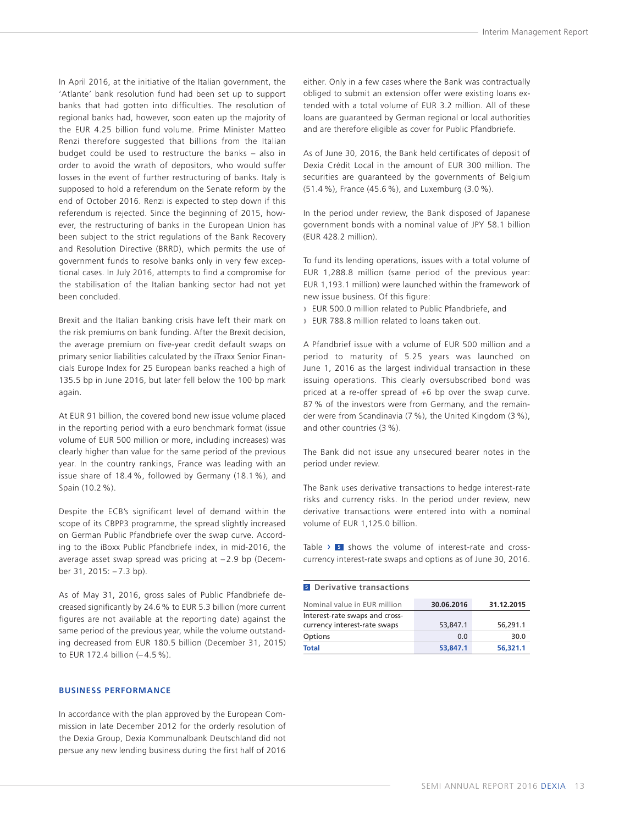<span id="page-14-0"></span>In April 2016, at the initiative of the Italian government, the 'Atlante' bank resolution fund had been set up to support banks that had gotten into difficulties. The resolution of regional banks had, however, soon eaten up the majority of the EUR 4.25 billion fund volume. Prime Minister Matteo Renzi therefore suggested that billions from the Italian budget could be used to restructure the banks – also in order to avoid the wrath of depositors, who would suffer losses in the event of further restructuring of banks. Italy is supposed to hold a referendum on the Senate reform by the end of October 2016. Renzi is expected to step down if this referendum is rejected. Since the beginning of 2015, however, the restructuring of banks in the European Union has been subject to the strict regulations of the Bank Recovery and Resolution Directive (BRRD), which permits the use of government funds to resolve banks only in very few exceptional cases. In July 2016, attempts to find a compromise for the stabilisation of the Italian banking sector had not yet been concluded.

Brexit and the Italian banking crisis have left their mark on the risk premiums on bank funding. After the Brexit decision, the average premium on five-year credit default swaps on primary senior liabilities calculated by the iTraxx Senior Financials Europe Index for 25 European banks reached a high of 135.5 bp in June 2016, but later fell below the 100 bp mark again.

At EUR 91 billion, the covered bond new issue volume placed in the reporting period with a euro benchmark format (issue volume of EUR 500 million or more, including increases) was clearly higher than value for the same period of the previous year. In the country rankings, France was leading with an issue share of 18.4 %, followed by Germany (18.1 %), and Spain (10.2 %).

Despite the ECB's significant level of demand within the scope of its CBPP3 programme, the spread slightly increased on German Public Pfandbriefe over the swap curve. According to the iBoxx Public Pfandbriefe index, in mid-2016, the average asset swap spread was pricing at – 2.9 bp (December 31, 2015: – 7.3 bp).

As of May 31, 2016, gross sales of Public Pfandbriefe decreased significantly by 24.6% to EUR 5.3 billion (more current figures are not available at the reporting date) against the same period of the previous year, while the volume outstanding decreased from EUR 180.5 billion (December 31, 2015) to EUR 172.4 billion (– 4.5 %).

#### **BUSINESS PERFORMANCE**

In accordance with the plan approved by the European Commission in late December 2012 for the orderly resolution of the Dexia Group, Dexia Kommunalbank Deutschland did not persue any new lending business during the first half of 2016 either. Only in a few cases where the Bank was contractually obliged to submit an extension offer were existing loans extended with a total volume of EUR 3.2 million. All of these loans are guaranteed by German regional or local authorities and are therefore eligible as cover for Public Pfandbriefe.

As of June 30, 2016, the Bank held certificates of deposit of Dexia Crédit Local in the amount of EUR 300 million. The securities are guaranteed by the governments of Belgium (51.4 %), France (45.6 %), and Luxemburg (3.0 %).

In the period under review, the Bank disposed of Japanese government bonds with a nominal value of JPY 58.1 billion (EUR 428.2 million).

To fund its lending operations, issues with a total volume of EUR 1,288.8 million (same period of the previous year: EUR 1,193.1 million) were launched within the framework of new issue business. Of this figure:

- **›** EUR 500.0 million related to Public Pfandbriefe, and
- **›** EUR 788.8 million related to loans taken out.

A Pfandbrief issue with a volume of EUR 500 million and a period to maturity of 5.25 years was launched on June 1, 2016 as the largest individual transaction in these issuing operations. This clearly oversubscribed bond was priced at a re-offer spread of +6 bp over the swap curve. 87 % of the investors were from Germany, and the remainder were from Scandinavia (7 %), the United Kingdom (3 %), and other countries (3 %).

The Bank did not issue any unsecured bearer notes in the period under review.

The Bank uses derivative transactions to hedge interest-rate risks and currency risks. In the period under review, new derivative transactions were entered into with a nominal volume of EUR 1,125.0 billion.

Table > **5** shows the volume of interest-rate and crosscurrency interest-rate swaps and options as of June 30, 2016.

## **<sup>5</sup> Derivative transactions**

| Nominal value in EUR million                                   | 30.06.2016 | 31.12.2015 |
|----------------------------------------------------------------|------------|------------|
| Interest-rate swaps and cross-<br>currency interest-rate swaps | 53,847.1   | 56,291.1   |
| Options                                                        | 0.0        | 30.0       |
| <b>Total</b>                                                   | 53,847.1   | 56,321.1   |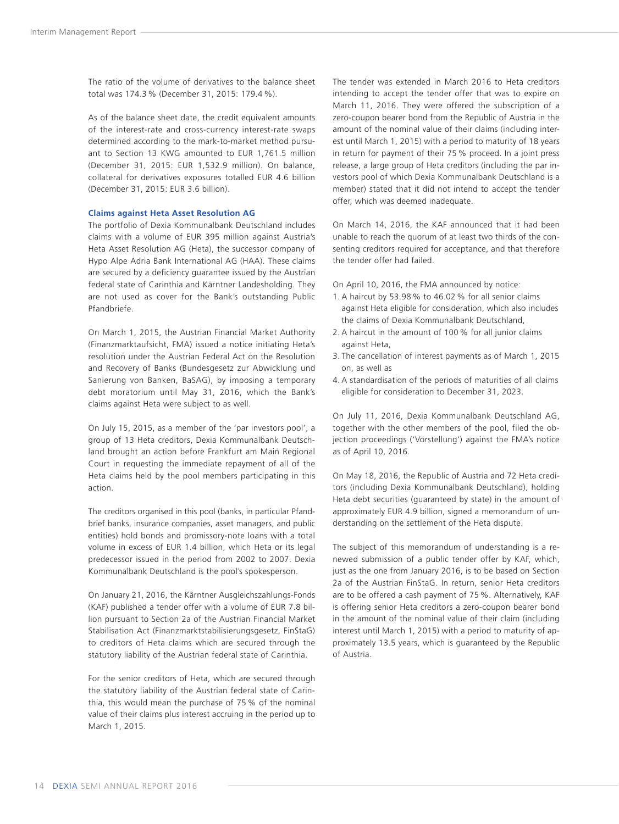The ratio of the volume of derivatives to the balance sheet total was 174.3 % (December 31, 2015: 179.4 %).

As of the balance sheet date, the credit equivalent amounts of the interest-rate and cross-currency interest-rate swaps determined according to the mark-to-market method pursuant to Section 13 KWG amounted to EUR 1,761.5 million (December 31, 2015: EUR 1,532.9 million). On balance, collateral for derivatives exposures totalled EUR 4.6 billion (December 31, 2015: EUR 3.6 billion).

#### **Claims against Heta Asset Resolution AG**

The portfolio of Dexia Kommunalbank Deutschland includes claims with a volume of EUR 395 million against Austria's Heta Asset Resolution AG (Heta), the successor company of Hypo Alpe Adria Bank International AG (HAA). These claims are secured by a deficiency guarantee issued by the Austrian federal state of Carinthia and Kärntner Landesholding. They are not used as cover for the Bank's outstanding Public Pfandbriefe.

On March 1, 2015, the Austrian Financial Market Authority (Finanzmarktaufsicht, FMA) issued a notice initiating Heta's resolution under the Austrian Federal Act on the Resolution and Recovery of Banks (Bundesgesetz zur Abwicklung und Sanierung von Banken, BaSAG), by imposing a temporary debt moratorium until May 31, 2016, which the Bank's claims against Heta were subject to as well.

On July 15, 2015, as a member of the 'par investors pool', a group of 13 Heta creditors, Dexia Kommunalbank Deutschland brought an action before Frankfurt am Main Regional Court in requesting the immediate repayment of all of the Heta claims held by the pool members participating in this action.

The creditors organised in this pool (banks, in particular Pfandbrief banks, insurance companies, asset managers, and public entities) hold bonds and promissory-note loans with a total volume in excess of EUR 1.4 billion, which Heta or its legal predecessor issued in the period from 2002 to 2007. Dexia Kommunalbank Deutschland is the pool's spokesperson.

On January 21, 2016, the Kärntner Ausgleichszahlungs-Fonds (KAF) published a tender offer with a volume of EUR 7.8 billion pursuant to Section 2a of the Austrian Financial Market Stabilisation Act (Finanzmarktstabilisierungsgesetz, FinStaG) to creditors of Heta claims which are secured through the statutory liability of the Austrian federal state of Carinthia.

For the senior creditors of Heta, which are secured through the statutory liability of the Austrian federal state of Carinthia, this would mean the purchase of 75 % of the nominal value of their claims plus interest accruing in the period up to March 1, 2015.

The tender was extended in March 2016 to Heta creditors intending to accept the tender offer that was to expire on March 11, 2016. They were offered the subscription of a zero-coupon bearer bond from the Republic of Austria in the amount of the nominal value of their claims (including interest until March 1, 2015) with a period to maturity of 18 years in return for payment of their 75 % proceed. In a joint press release, a large group of Heta creditors (including the par investors pool of which Dexia Kommunalbank Deutschland is a member) stated that it did not intend to accept the tender offer, which was deemed inadequate.

On March 14, 2016, the KAF announced that it had been unable to reach the quorum of at least two thirds of the consenting creditors required for acceptance, and that therefore the tender offer had failed.

On April 10, 2016, the FMA announced by notice:

- 1. A haircut by 53.98 % to 46.02 % for all senior claims against Heta eligible for consideration, which also includes the claims of Dexia Kommunalbank Deutschland,
- 2. A haircut in the amount of 100 % for all junior claims against Heta,
- 3. The cancellation of interest payments as of March 1, 2015 on, as well as
- 4. A standardisation of the periods of maturities of all claims eligible for consideration to December 31, 2023.

On July 11, 2016, Dexia Kommunalbank Deutschland AG, together with the other members of the pool, filed the objection proceedings ('Vorstellung') against the FMA's notice as of April 10, 2016.

On May 18, 2016, the Republic of Austria and 72 Heta creditors (including Dexia Kommunalbank Deutschland), holding Heta debt securities (guaranteed by state) in the amount of approximately EUR 4.9 billion, signed a memorandum of understanding on the settlement of the Heta dispute.

The subject of this memorandum of understanding is a renewed submission of a public tender offer by KAF, which, just as the one from January 2016, is to be based on Section 2a of the Austrian FinStaG. In return, senior Heta creditors are to be offered a cash payment of 75 %. Alternatively, KAF is offering senior Heta creditors a zero-coupon bearer bond in the amount of the nominal value of their claim (including interest until March 1, 2015) with a period to maturity of approximately 13.5 years, which is guaranteed by the Republic of Austria.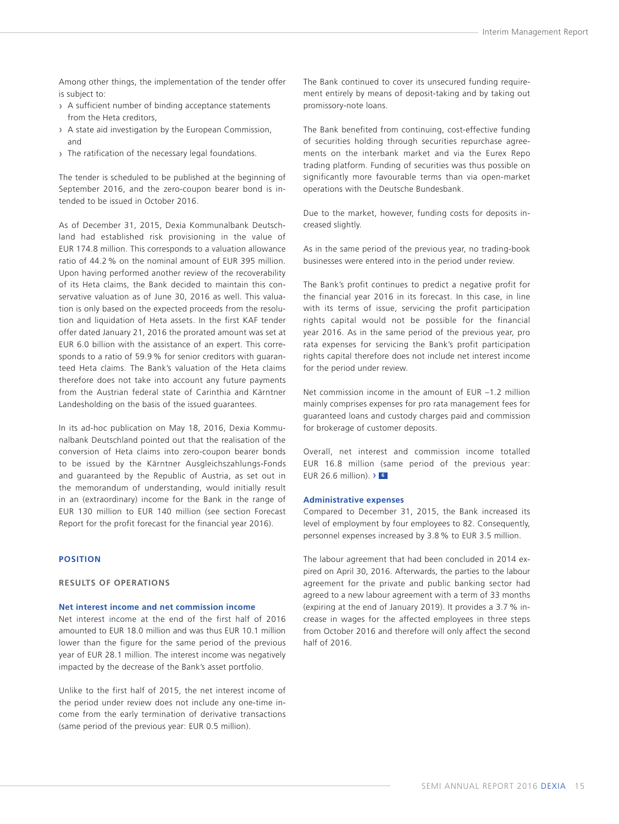<span id="page-16-0"></span>Among other things, the implementation of the tender offer is subject to:

- **›** A sufficient number of binding acceptance statements from the Heta creditors,
- **›** A state aid investigation by the European Commission, and
- **›** The ratification of the necessary legal foundations.

The tender is scheduled to be published at the beginning of September 2016, and the zero-coupon bearer bond is intended to be issued in October 2016.

As of December 31, 2015, Dexia Kommunalbank Deutschland had established risk provisioning in the value of EUR 174.8 million. This corresponds to a valuation allowance ratio of 44.2 % on the nominal amount of EUR 395 million. Upon having performed another review of the recoverability of its Heta claims, the Bank decided to maintain this conservative valuation as of June 30, 2016 as well. This valuation is only based on the expected proceeds from the resolution and liquidation of Heta assets. In the first KAF tender offer dated January 21, 2016 the prorated amount was set at EUR 6.0 billion with the assistance of an expert. This corresponds to a ratio of 59.9 % for senior creditors with guaranteed Heta claims. The Bank's valuation of the Heta claims therefore does not take into account any future payments from the Austrian federal state of Carinthia and Kärntner Landesholding on the basis of the issued guarantees.

In its ad-hoc publication on May 18, 2016, Dexia Kommunalbank Deutschland pointed out that the realisation of the conversion of Heta claims into zero-coupon bearer bonds to be issued by the Kärntner Ausgleichszahlungs-Fonds and guaranteed by the Republic of Austria, as set out in the memorandum of understanding, would initially result in an (extraordinary) income for the Bank in the range of EUR 130 million to EUR 140 million (see section Forecast Report for the profit forecast for the financial year 2016).

#### **POSITION**

#### **RESULTS OF OPERATIONS**

#### **Net interest income and net commission income**

Net interest income at the end of the first half of 2016 amounted to EUR 18.0 million and was thus EUR 10.1 million lower than the figure for the same period of the previous year of EUR 28.1 million. The interest income was negatively impacted by the decrease of the Bank's asset portfolio.

Unlike to the first half of 2015, the net interest income of the period under review does not include any one-time income from the early termination of derivative transactions (same period of the previous year: EUR 0.5 million).

The Bank continued to cover its unsecured funding requirement entirely by means of deposit-taking and by taking out promissory-note loans.

The Bank benefited from continuing, cost-effective funding of securities holding through securities repurchase agreements on the interbank market and via the Eurex Repo trading platform. Funding of securities was thus possible on significantly more favourable terms than via open-market operations with the Deutsche Bundesbank.

Due to the market, however, funding costs for deposits increased slightly.

As in the same period of the previous year, no trading-book businesses were entered into in the period under review.

The Bank's profit continues to predict a negative profit for the financial year 2016 in its forecast. In this case, in line with its terms of issue, servicing the profit participation rights capital would not be possible for the financial year 2016. As in the same period of the previous year, pro rata expenses for servicing the Bank's profit participation rights capital therefore does not include net interest income for the period under review.

Net commission income in the amount of EUR –1.2 million mainly comprises expenses for pro rata management fees for guaranteed loans and custody charges paid and commission for brokerage of customer deposits.

Overall, net interest and commission income totalled EUR 16.8 million (same period of the previous year: EUR 26.6 million). › **<sup>6</sup>**

#### **Administrative expenses**

Compared to December 31, 2015, the Bank increased its level of employment by four employees to 82. Consequently, personnel expenses increased by 3.8 % to EUR 3.5 million.

The labour agreement that had been concluded in 2014 expired on April 30, 2016. Afterwards, the parties to the labour agreement for the private and public banking sector had agreed to a new labour agreement with a term of 33 months (expiring at the end of January 2019). It provides a 3.7 % increase in wages for the affected employees in three steps from October 2016 and therefore will only affect the second half of 2016.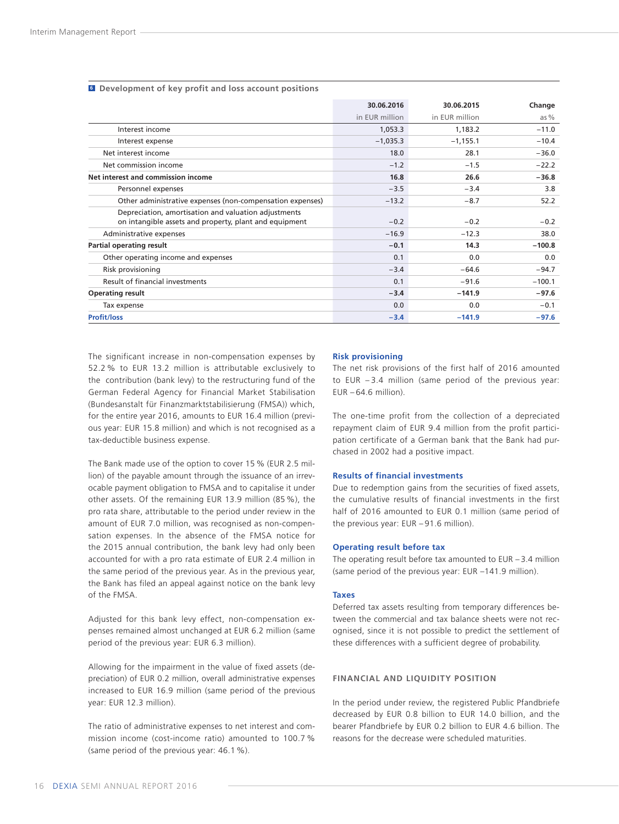|                                                           | 30.06.2016     | 30.06.2015     | Change   |
|-----------------------------------------------------------|----------------|----------------|----------|
|                                                           | in EUR million | in EUR million | as $%$   |
| Interest income                                           | 1,053.3        | 1,183.2        | $-11.0$  |
| Interest expense                                          | $-1,035.3$     | $-1,155.1$     | $-10.4$  |
| Net interest income                                       | 18.0           | 28.1           | $-36.0$  |
| Net commission income                                     | $-1.2$         | $-1.5$         | $-22.2$  |
| Net interest and commission income                        | 16.8           | 26.6           | $-36.8$  |
| Personnel expenses                                        | $-3.5$         | $-3.4$         | 3.8      |
| Other administrative expenses (non-compensation expenses) | $-13.2$        | $-8.7$         | 52.2     |
| Depreciation, amortisation and valuation adjustments      |                |                |          |
| on intangible assets and property, plant and equipment    | $-0.2$         | $-0.2$         | $-0.2$   |
| Administrative expenses                                   | $-16.9$        | $-12.3$        | 38.0     |
| Partial operating result                                  | $-0.1$         | 14.3           | $-100.8$ |
| Other operating income and expenses                       | 0.1            | 0.0            | 0.0      |
| Risk provisioning                                         | $-3.4$         | $-64.6$        | $-94.7$  |
| Result of financial investments                           | 0.1            | $-91.6$        | $-100.1$ |
| <b>Operating result</b>                                   | $-3.4$         | $-141.9$       | $-97.6$  |
| Tax expense                                               | 0.0            | 0.0            | $-0.1$   |
| <b>Profit/loss</b>                                        | $-3.4$         | $-141.9$       | $-97.6$  |

#### **<sup>6</sup> Development of key profit and loss account positions**

The significant increase in non-compensation expenses by 52.2 % to EUR 13.2 million is attributable exclusively to the contribution (bank levy) to the restructuring fund of the German Federal Agency for Financial Market Stabilisation (Bundesanstalt für Finanzmarktstabilisierung (FMSA)) which, for the entire year 2016, amounts to EUR 16.4 million (previous year: EUR 15.8 million) and which is not recognised as a tax-deductible business expense.

The Bank made use of the option to cover 15 % (EUR 2.5 million) of the payable amount through the issuance of an irrevocable payment obligation to FMSA and to capitalise it under other assets. Of the remaining EUR 13.9 million (85 %), the pro rata share, attributable to the period under review in the amount of EUR 7.0 million, was recognised as non-compensation expenses. In the absence of the FMSA notice for the 2015 annual contribution, the bank levy had only been accounted for with a pro rata estimate of EUR 2.4 million in the same period of the previous year. As in the previous year, the Bank has filed an appeal against notice on the bank levy of the FMSA.

Adjusted for this bank levy effect, non-compensation expenses remained almost unchanged at EUR 6.2 million (same period of the previous year: EUR 6.3 million).

Allowing for the impairment in the value of fixed assets (depreciation) of EUR 0.2 million, overall administrative expenses increased to EUR 16.9 million (same period of the previous year: EUR 12.3 million).

The ratio of administrative expenses to net interest and commission income (cost-income ratio) amounted to 100.7 % (same period of the previous year: 46.1 %).

#### **Risk provisioning**

The net risk provisions of the first half of 2016 amounted to EUR – 3.4 million (same period of the previous year:  $EUR - 64.6$  million).

The one-time profit from the collection of a depreciated repayment claim of EUR 9.4 million from the profit participation certificate of a German bank that the Bank had purchased in 2002 had a positive impact.

#### **Results of financial investments**

Due to redemption gains from the securities of fixed assets, the cumulative results of financial investments in the first half of 2016 amounted to EUR 0.1 million (same period of the previous year: EUR – 91.6 million).

#### **Operating result before tax**

The operating result before tax amounted to  $EUR - 3.4$  million (same period of the previous year: EUR –141.9 million).

#### **Taxes**

Deferred tax assets resulting from temporary differences between the commercial and tax balance sheets were not recognised, since it is not possible to predict the settlement of these differences with a sufficient degree of probability.

#### **FINANCIAL AND LIQUIDITY POSITION**

In the period under review, the registered Public Pfandbriefe decreased by EUR 0.8 billion to EUR 14.0 billion, and the bearer Pfandbriefe by EUR 0.2 billion to EUR 4.6 billion. The reasons for the decrease were scheduled maturities.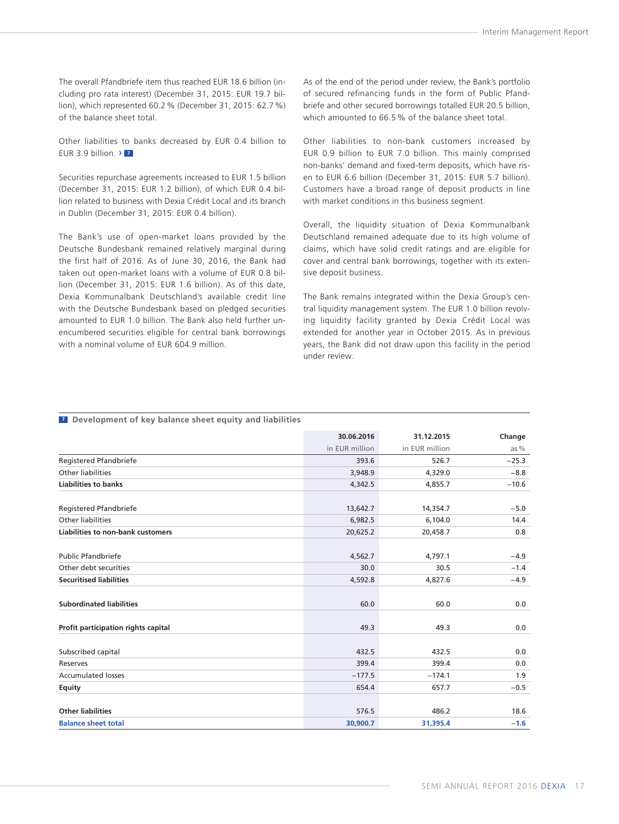The overall Pfandbriefe item thus reached EUR 18.6 billion (including pro rata interest) (December 31, 2015: EUR 19.7 billion), which represented 60.2% (December 31, 2015: 62.7%) of the balance sheet total.

Other liabilities to banks decreased by EUR 0.4 billion to EUR 3.9 billion. › **<sup>7</sup>**

Securities repurchase agreements increased to EUR 1.5 billion (December 31, 2015: EUR 1.2 billion), of which EUR 0.4 billion related to business with Dexia Crédit Local and its branch in Dublin (December 31, 2015: EUR 0.4 billion).

The Bank's use of open-market loans provided by the Deutsche Bundesbank remained relatively marginal during the first half of 2016. As of June 30, 2016, the Bank had taken out open-market loans with a volume of EUR 0.8 billion (December 31, 2015: EUR 1.6 billion). As of this date, Dexia Kommunalbank Deutschland's available credit line with the Deutsche Bundesbank based on pledged securities amounted to EUR 1.0 billion. The Bank also held further unencumbered securities eligible for central bank borrowings with a nominal volume of FUR 604.9 million

As of the end of the period under review, the Bank's portfolio of secured refinancing funds in the form of Public Pfandbriefe and other secured borrowings totalled EUR 20.5 billion, which amounted to 66.5 % of the balance sheet total.

Other liabilities to non-bank customers increased by EUR 0.9 billion to EUR 7.0 billion. This mainly comprised non-banks' demand and fixed-term deposits, which have risen to EUR 6.6 billion (December 31, 2015: EUR 5.7 billion). Customers have a broad range of deposit products in line with market conditions in this business segment.

Overall, the liquidity situation of Dexia Kommunalbank Deutschland remained adequate due to its high volume of claims, which have solid credit ratings and are eligible for cover and central bank borrowings, together with its extensive deposit business.

The Bank remains integrated within the Dexia Group's central liquidity management system. The EUR 1.0 billion revolving liquidity facility granted by Dexia Crédit Local was extended for another year in October 2015. As in previous years, the Bank did not draw upon this facility in the period under review.

|                                          | 30.06.2016     | 31.12.2015     | Change  |
|------------------------------------------|----------------|----------------|---------|
|                                          | in EUR million | in EUR million | as $%$  |
| Registered Pfandbriefe                   | 393.6          | 526.7          | $-25.3$ |
| Other liabilities                        | 3,948.9        | 4,329.0        | $-8.8$  |
| <b>Liabilities to banks</b>              | 4,342.5        | 4,855.7        | $-10.6$ |
| Registered Pfandbriefe                   | 13,642.7       | 14,354.7       | $-5.0$  |
| <b>Other liabilities</b>                 | 6,982.5        | 6,104.0        | 14.4    |
| <b>Liabilities to non-bank customers</b> | 20,625.2       | 20,458.7       | 0.8     |
| <b>Public Pfandbriefe</b>                | 4,562.7        | 4,797.1        | $-4.9$  |
| Other debt securities                    | 30.0           | 30.5           | $-1.4$  |
| <b>Securitised liabilities</b>           | 4,592.8        | 4,827.6        | $-4.9$  |
| <b>Subordinated liabilities</b>          | 60.0           | 60.0           | 0.0     |
| Profit participation rights capital      | 49.3           | 49.3           | 0.0     |
| Subscribed capital                       | 432.5          | 432.5          | 0.0     |
| Reserves                                 | 399.4          | 399.4          | 0.0     |
| <b>Accumulated losses</b>                | $-177.5$       | $-174.1$       | 1.9     |
| Equity                                   | 654.4          | 657.7          | $-0.5$  |
| <b>Other liabilities</b>                 | 576.5          | 486.2          | 18.6    |
| <b>Balance sheet total</b>               | 30,900.7       | 31,395.4       | $-1.6$  |

#### **<sup>7</sup> Development of key balance sheet equity and liabilities**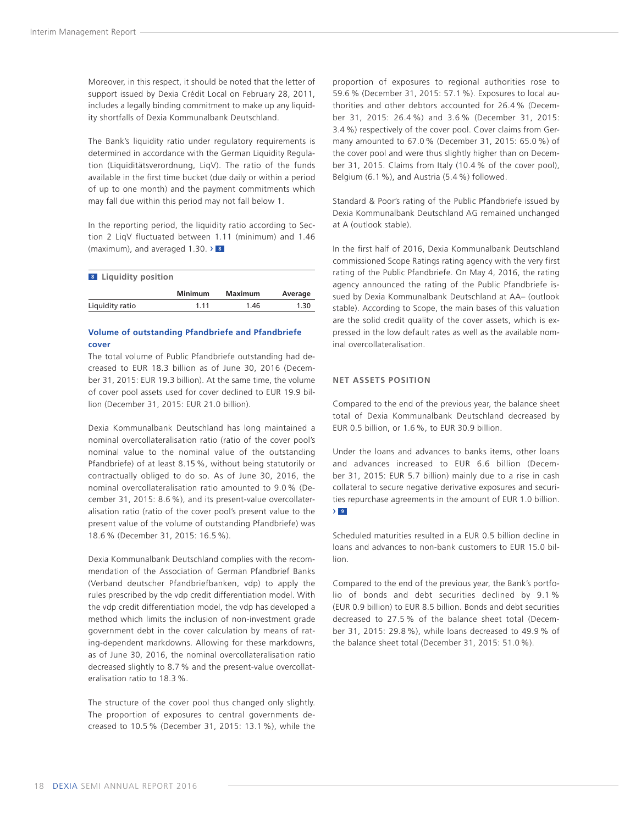Moreover, in this respect, it should be noted that the letter of support issued by Dexia Crédit Local on February 28, 2011, includes a legally binding commitment to make up any liquidity shortfalls of Dexia Kommunalbank Deutschland.

The Bank's liquidity ratio under regulatory requirements is determined in accordance with the German Liquidity Regulation (Liquiditätsverordnung, LiqV). The ratio of the funds available in the first time bucket (due daily or within a period of up to one month) and the payment commitments which may fall due within this period may not fall below 1.

In the reporting period, the liquidity ratio according to Section 2 LiqV fluctuated between 1.11 (minimum) and 1.46 (maximum), and averaged 1.30. › **<sup>8</sup>**

| <b>Liquidity position</b><br>8 <sub>1</sub> |                |         |         |
|---------------------------------------------|----------------|---------|---------|
|                                             | <b>Minimum</b> | Maximum | Average |
| Liquidity ratio                             | 1.11           | 1.46    | 1.30    |

#### **Volume of outstanding Pfandbriefe and Pfandbriefe cover**

The total volume of Public Pfandbriefe outstanding had decreased to EUR 18.3 billion as of June 30, 2016 (December 31, 2015: EUR 19.3 billion). At the same time, the volume of cover pool assets used for cover declined to EUR 19.9 billion (December 31, 2015: EUR 21.0 billion).

Dexia Kommunalbank Deutschland has long maintained a nominal overcollateralisation ratio (ratio of the cover pool's nominal value to the nominal value of the outstanding Pfandbriefe) of at least 8.15 %, without being statutorily or contractually obliged to do so. As of June 30, 2016, the nominal overcollateralisation ratio amounted to 9.0 % (December 31, 2015: 8.6 %), and its present-value overcollateralisation ratio (ratio of the cover pool's present value to the present value of the volume of outstanding Pfandbriefe) was 18.6 % (December 31, 2015: 16.5 %).

Dexia Kommunalbank Deutschland complies with the recommendation of the Association of German Pfandbrief Banks (Verband deutscher Pfandbriefbanken, vdp) to apply the rules prescribed by the vdp credit differentiation model. With the vdp credit differentiation model, the vdp has developed a method which limits the inclusion of non-investment grade government debt in the cover calculation by means of rating-dependent markdowns. Allowing for these markdowns, as of June 30, 2016, the nominal overcollateralisation ratio decreased slightly to 8.7 % and the present-value overcollateralisation ratio to 18.3 %.

The structure of the cover pool thus changed only slightly. The proportion of exposures to central governments decreased to 10.5 % (December 31, 2015: 13.1 %), while the proportion of exposures to regional authorities rose to 59.6 % (December 31, 2015: 57.1 %). Exposures to local authorities and other debtors accounted for 26.4 % (December 31, 2015: 26.4 %) and 3.6 % (December 31, 2015: 3.4 %) respectively of the cover pool. Cover claims from Germany amounted to 67.0 % (December 31, 2015: 65.0 %) of the cover pool and were thus slightly higher than on December 31, 2015. Claims from Italy (10.4 % of the cover pool), Belgium (6.1 %), and Austria (5.4 %) followed.

Standard & Poor's rating of the Public Pfandbriefe issued by Dexia Kommunalbank Deutschland AG remained unchanged at A (outlook stable).

In the first half of 2016, Dexia Kommunalbank Deutschland commissioned Scope Ratings rating agency with the very first rating of the Public Pfandbriefe. On May 4, 2016, the rating agency announced the rating of the Public Pfandbriefe issued by Dexia Kommunalbank Deutschland at AA– (outlook stable). According to Scope, the main bases of this valuation are the solid credit quality of the cover assets, which is expressed in the low default rates as well as the available nominal overcollateralisation.

#### **NET ASSETS POSITION**

Compared to the end of the previous year, the balance sheet total of Dexia Kommunalbank Deutschland decreased by EUR 0.5 billion, or 1.6 %, to EUR 30.9 billion.

Under the loans and advances to banks items, other loans and advances increased to EUR 6.6 billion (December 31, 2015: EUR 5.7 billion) mainly due to a rise in cash collateral to secure negative derivative exposures and securities repurchase agreements in the amount of EUR 1.0 billion. › **<sup>9</sup>**

Scheduled maturities resulted in a EUR 0.5 billion decline in loans and advances to non-bank customers to EUR 15.0 billion.

Compared to the end of the previous year, the Bank's portfolio of bonds and debt securities declined by 9.1 % (EUR 0.9 billion) to EUR 8.5 billion. Bonds and debt securities decreased to 27.5 % of the balance sheet total (December 31, 2015: 29.8 %), while loans decreased to 49.9 % of the balance sheet total (December 31, 2015: 51.0 %).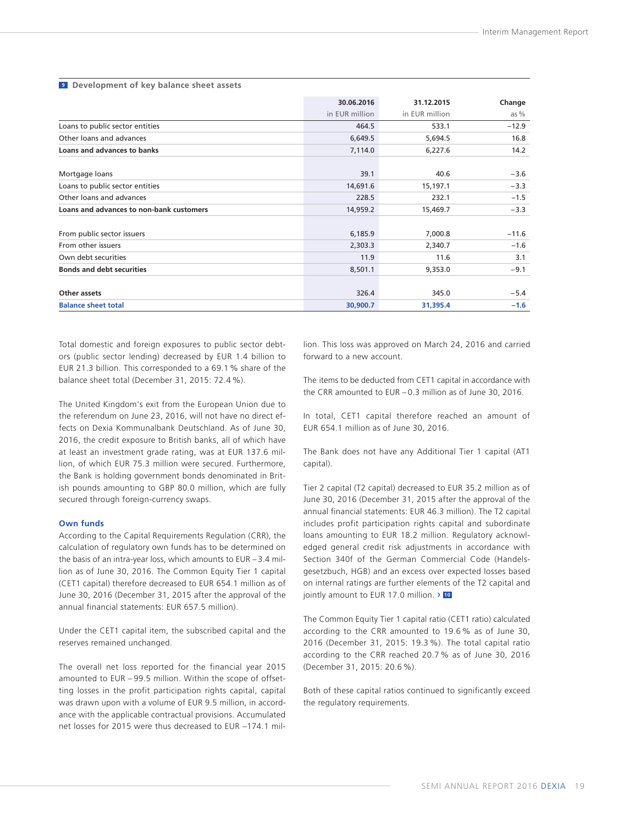|                                          | 30.06.2016     | 31.12.2015     | Change  |
|------------------------------------------|----------------|----------------|---------|
|                                          | in EUR million | in EUR million | as $%$  |
| Loans to public sector entities          | 464.5          | 533.1          | $-12.9$ |
| Other loans and advances                 | 6,649.5        | 5,694.5        | 16.8    |
| Loans and advances to banks              | 7,114.0        | 6,227.6        | 14.2    |
| Mortgage loans                           | 39.1           | 40.6           | $-3.6$  |
| Loans to public sector entities          | 14,691.6       | 15,197.1       | $-3.3$  |
| Other loans and advances                 | 228.5          | 232.1          | $-1.5$  |
| Loans and advances to non-bank customers | 14,959.2       | 15,469.7       | $-3.3$  |
| From public sector issuers               | 6,185.9        | 7,000.8        | $-11.6$ |
| From other issuers                       | 2,303.3        | 2,340.7        | $-1.6$  |
| Own debt securities                      | 11.9           | 11.6           | 3.1     |
| <b>Bonds and debt securities</b>         | 8,501.1        | 9,353.0        | $-9.1$  |
| Other assets                             | 326.4          | 345.0          | $-5.4$  |
| <b>Balance sheet total</b>               | 30,900.7       | 31,395.4       | $-1.6$  |

#### **9 Development of key balance sheet assets**

Total domestic and foreign exposures to public sector debtors (public sector lending) decreased by EUR 1.4 billion to EUR 21.3 billion. This corresponded to a 69.1 % share of the balance sheet total (December 31, 2015: 72.4 %).

The United Kingdom's exit from the European Union due to the referendum on June 23, 2016, will not have no direct effects on Dexia Kommunalbank Deutschland. As of June 30, 2016, the credit exposure to British banks, all of which have at least an investment grade rating, was at EUR 137.6 million, of which EUR 75.3 million were secured. Furthermore, the Bank is holding government bonds denominated in British pounds amounting to GBP 80.0 million, which are fully secured through foreign-currency swaps.

#### **Own funds**

According to the Capital Requirements Regulation (CRR), the calculation of regulatory own funds has to be determined on the basis of an intra-year loss, which amounts to EUR – 3.4 million as of June 30, 2016. The Common Equity Tier 1 capital (CET1 capital) therefore decreased to EUR 654.1 million as of June 30, 2016 (December 31, 2015 after the approval of the annual financial statements: EUR 657.5 million).

Under the CET1 capital item, the subscribed capital and the reserves remained unchanged.

The overall net loss reported for the financial year 2015 amounted to EUR – 99.5 million. Within the scope of offsetting losses in the profit participation rights capital, capital was drawn upon with a volume of EUR 9.5 million, in accordance with the applicable contractual provisions. Accumulated net losses for 2015 were thus decreased to EUR –174.1 million. This loss was approved on March 24, 2016 and carried forward to a new account.

The items to be deducted from CET1 capital in accordance with the CRR amounted to EUR – 0.3 million as of June 30, 2016.

In total, CET1 capital therefore reached an amount of EUR 654.1 million as of June 30, 2016.

The Bank does not have any Additional Tier 1 capital (AT1 capital).

Tier 2 capital (T2 capital) decreased to EUR 35.2 million as of June 30, 2016 (December 31, 2015 after the approval of the annual financial statements: EUR 46.3 million). The T2 capital includes profit participation rights capital and subordinate loans amounting to EUR 18.2 million. Regulatory acknowledged general credit risk adjustments in accordance with Section 340f of the German Commercial Code (Handelsgesetzbuch, HGB) and an excess over expected losses based on internal ratings are further elements of the T2 capital and jointly amount to EUR 17.0 million. › **<sup>10</sup>**

The Common Equity Tier 1 capital ratio (CET1 ratio) calculated according to the CRR amounted to 19.6 % as of June 30, 2016 (December 31, 2015: 19.3 %). The total capital ratio according to the CRR reached 20.7 % as of June 30, 2016 (December 31, 2015: 20.6 %).

Both of these capital ratios continued to significantly exceed the regulatory requirements.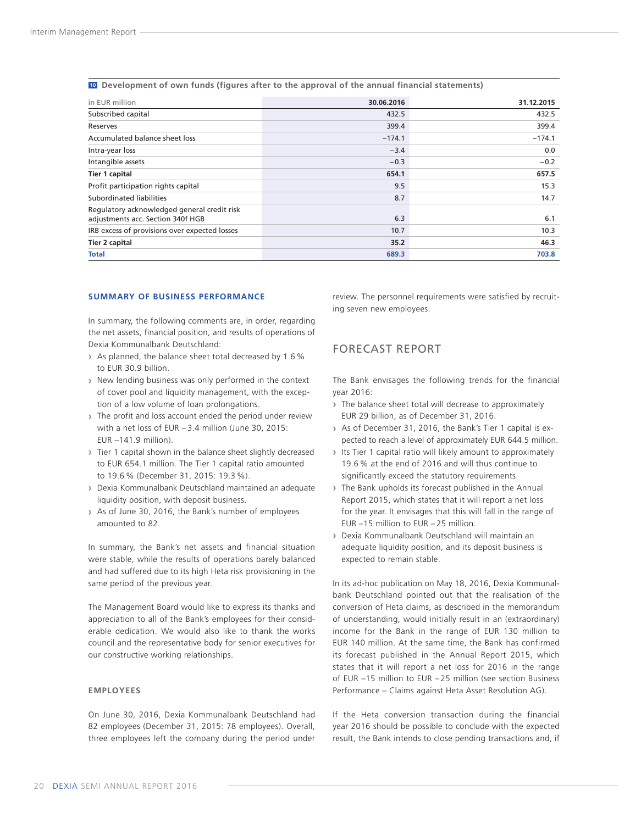<span id="page-21-0"></span>**10 Development of own funds (figures after to the approval of the annual financial statements)**

| in EUR million                                                                   | 30.06.2016 | 31.12.2015 |
|----------------------------------------------------------------------------------|------------|------------|
| Subscribed capital                                                               | 432.5      | 432.5      |
| Reserves                                                                         | 399.4      | 399.4      |
| Accumulated balance sheet loss                                                   | $-174.1$   | $-174.1$   |
| Intra-year loss                                                                  | $-3.4$     | 0.0        |
| Intangible assets                                                                | $-0.3$     | $-0.2$     |
| <b>Tier 1 capital</b>                                                            | 654.1      | 657.5      |
| Profit participation rights capital                                              | 9.5        | 15.3       |
| Subordinated liabilities                                                         | 8.7        | 14.7       |
| Regulatory acknowledged general credit risk<br>adjustments acc. Section 340f HGB | 6.3        | 6.1        |
| IRB excess of provisions over expected losses                                    | 10.7       | 10.3       |
| <b>Tier 2 capital</b>                                                            | 35.2       | 46.3       |
| <b>Total</b>                                                                     | 689.3      | 703.8      |

#### **SUMMARY OF BUSINESS PERFORMANCE**

In summary, the following comments are, in order, regarding the net assets, financial position, and results of operations of Dexia Kommunalbank Deutschland:

- **›** As planned, the balance sheet total decreased by 1.6 % to EUR 30.9 billion.
- **›** New lending business was only performed in the context of cover pool and liquidity management, with the exception of a low volume of loan prolongations.
- **›** The profit and loss account ended the period under review with a net loss of EUR – 3.4 million (June 30, 2015: EUR –141.9 million).
- **›** Tier 1 capital shown in the balance sheet slightly decreased to EUR 654.1 million. The Tier 1 capital ratio amounted to 19.6 % (December 31, 2015: 19.3 %).
- **›** Dexia Kommunalbank Deutschland maintained an adequate liquidity position, with deposit business.
- **›** As of June 30, 2016, the Bank's number of employees amounted to 82.

In summary, the Bank's net assets and financial situation were stable, while the results of operations barely balanced and had suffered due to its high Heta risk provisioning in the same period of the previous year.

The Management Board would like to express its thanks and appreciation to all of the Bank's employees for their considerable dedication. We would also like to thank the works council and the representative body for senior executives for our constructive working relationships.

#### **EMPLOYEES**

On June 30, 2016, Dexia Kommunalbank Deutschland had 82 employees (December 31, 2015: 78 employees). Overall, three employees left the company during the period under review. The personnel requirements were satisfied by recruiting seven new employees.

### FORECAST REPORT

The Bank envisages the following trends for the financial year 2016:

- **›** The balance sheet total will decrease to approximately EUR 29 billion, as of December 31, 2016.
- **›** As of December 31, 2016, the Bank's Tier 1 capital is expected to reach a level of approximately EUR 644.5 million.
- **›** Its Tier 1 capital ratio will likely amount to approximately 19.6 % at the end of 2016 and will thus continue to significantly exceed the statutory requirements.
- **›** The Bank upholds its forecast published in the Annual Report 2015, which states that it will report a net loss for the year. It envisages that this will fall in the range of EUR –15 million to EUR – 25 million.
- **›** Dexia Kommunalbank Deutschland will maintain an adequate liquidity position, and its deposit business is expected to remain stable.

In its ad-hoc publication on May 18, 2016, Dexia Kommunalbank Deutschland pointed out that the realisation of the conversion of Heta claims, as described in the memorandum of understanding, would initially result in an (extraordinary) income for the Bank in the range of EUR 130 million to EUR 140 million. At the same time, the Bank has confirmed its forecast published in the Annual Report 2015, which states that it will report a net loss for 2016 in the range of EUR –15 million to EUR – 25 million (see section Business Performance – Claims against Heta Asset Resolution AG).

If the Heta conversion transaction during the financial year 2016 should be possible to conclude with the expected result, the Bank intends to close pending transactions and, if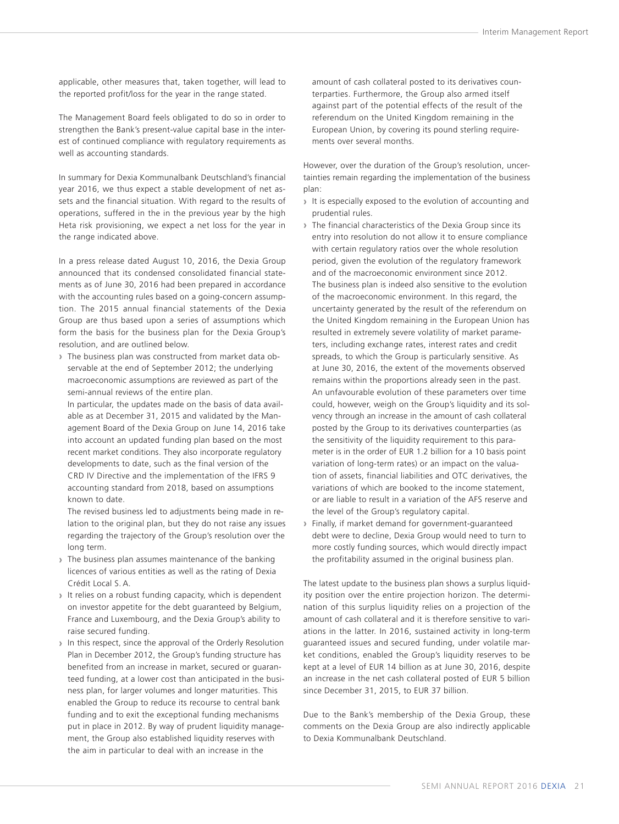applicable, other measures that, taken together, will lead to the reported profit/loss for the year in the range stated.

The Management Board feels obligated to do so in order to strengthen the Bank's present-value capital base in the interest of continued compliance with regulatory requirements as well as accounting standards.

In summary for Dexia Kommunalbank Deutschland's financial year 2016, we thus expect a stable development of net assets and the financial situation. With regard to the results of operations, suffered in the in the previous year by the high Heta risk provisioning, we expect a net loss for the year in the range indicated above.

In a press release dated August 10, 2016, the Dexia Group announced that its condensed consolidated financial statements as of June 30, 2016 had been prepared in accordance with the accounting rules based on a going-concern assumption. The 2015 annual financial statements of the Dexia Group are thus based upon a series of assumptions which form the basis for the business plan for the Dexia Group's resolution, and are outlined below.

**›** The business plan was constructed from market data observable at the end of September 2012; the underlying macroeconomic assumptions are reviewed as part of the semi-annual reviews of the entire plan.

In particular, the updates made on the basis of data available as at December 31, 2015 and validated by the Management Board of the Dexia Group on June 14, 2016 take into account an updated funding plan based on the most recent market conditions. They also incorporate regulatory developments to date, such as the final version of the CRD IV Directive and the implementation of the IFRS 9 accounting standard from 2018, based on assumptions known to date.

The revised business led to adjustments being made in relation to the original plan, but they do not raise any issues regarding the trajectory of the Group's resolution over the long term.

- **›** The business plan assumes maintenance of the banking licences of various entities as well as the rating of Dexia Crédit Local S. A.
- **›** It relies on a robust funding capacity, which is dependent on investor appetite for the debt guaranteed by Belgium, France and Luxembourg, and the Dexia Group's ability to raise secured funding.
- **›** In this respect, since the approval of the Orderly Resolution Plan in December 2012, the Group's funding structure has benefited from an increase in market, secured or guaranteed funding, at a lower cost than anticipated in the business plan, for larger volumes and longer maturities. This enabled the Group to reduce its recourse to central bank funding and to exit the exceptional funding mechanisms put in place in 2012. By way of prudent liquidity management, the Group also established liquidity reserves with the aim in particular to deal with an increase in the

amount of cash collateral posted to its derivatives counterparties. Furthermore, the Group also armed itself against part of the potential effects of the result of the referendum on the United Kingdom remaining in the European Union, by covering its pound sterling requirements over several months.

However, over the duration of the Group's resolution, uncertainties remain regarding the implementation of the business plan:

- **›** It is especially exposed to the evolution of accounting and prudential rules.
- **›** The financial characteristics of the Dexia Group since its entry into resolution do not allow it to ensure compliance with certain regulatory ratios over the whole resolution period, given the evolution of the regulatory framework and of the macroeconomic environment since 2012. The business plan is indeed also sensitive to the evolution of the macroeconomic environment. In this regard, the uncertainty generated by the result of the referendum on the United Kingdom remaining in the European Union has resulted in extremely severe volatility of market parameters, including exchange rates, interest rates and credit spreads, to which the Group is particularly sensitive. As at June 30, 2016, the extent of the movements observed remains within the proportions already seen in the past. An unfavourable evolution of these parameters over time could, however, weigh on the Group's liquidity and its solvency through an increase in the amount of cash collateral posted by the Group to its derivatives counterparties (as the sensitivity of the liquidity requirement to this parameter is in the order of EUR 1.2 billion for a 10 basis point variation of long-term rates) or an impact on the valuation of assets, financial liabilities and OTC derivatives, the variations of which are booked to the income statement, or are liable to result in a variation of the AFS reserve and the level of the Group's regulatory capital.
- **›** Finally, if market demand for government-guaranteed debt were to decline, Dexia Group would need to turn to more costly funding sources, which would directly impact the profitability assumed in the original business plan.

The latest update to the business plan shows a surplus liquidity position over the entire projection horizon. The determination of this surplus liquidity relies on a projection of the amount of cash collateral and it is therefore sensitive to variations in the latter. In 2016, sustained activity in long-term guaranteed issues and secured funding, under volatile market conditions, enabled the Group's liquidity reserves to be kept at a level of EUR 14 billion as at June 30, 2016, despite an increase in the net cash collateral posted of EUR 5 billion since December 31, 2015, to EUR 37 billion.

Due to the Bank's membership of the Dexia Group, these comments on the Dexia Group are also indirectly applicable to Dexia Kommunalbank Deutschland.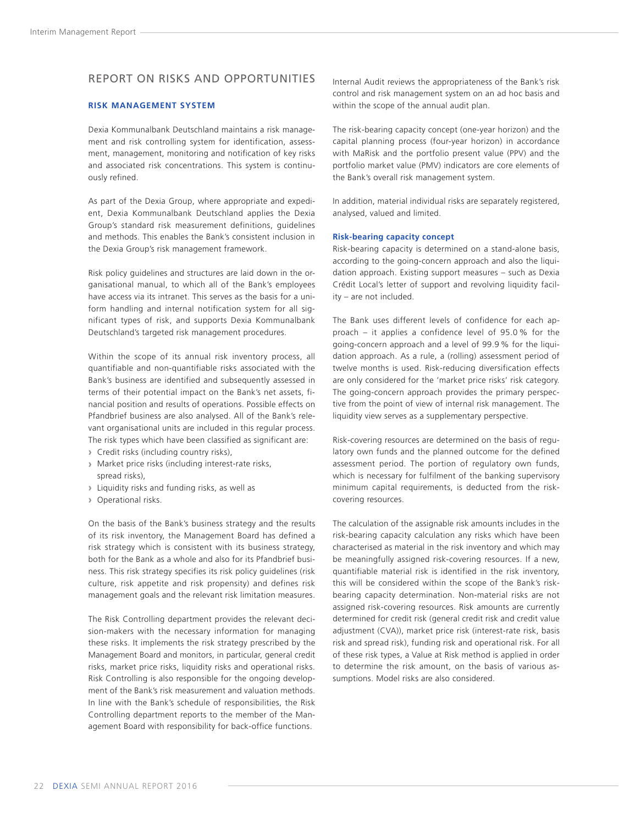## <span id="page-23-0"></span>REPORT ON RISKS AND OPPORTUNITIES

#### **RISK MANAGEMENT SYSTEM**

Dexia Kommunalbank Deutschland maintains a risk management and risk controlling system for identification, assessment, management, monitoring and notification of key risks and associated risk concentrations. This system is continuously refined.

As part of the Dexia Group, where appropriate and expedient, Dexia Kommunalbank Deutschland applies the Dexia Group's standard risk measurement definitions, guidelines and methods. This enables the Bank's consistent inclusion in the Dexia Group's risk management framework.

Risk policy guidelines and structures are laid down in the organisational manual, to which all of the Bank's employees have access via its intranet. This serves as the basis for a uniform handling and internal notification system for all significant types of risk, and supports Dexia Kommunalbank Deutschland's targeted risk management procedures.

Within the scope of its annual risk inventory process, all quantifiable and non-quantifiable risks associated with the Bank's business are identified and subsequently assessed in terms of their potential impact on the Bank's net assets, financial position and results of operations. Possible effects on Pfandbrief business are also analysed. All of the Bank's relevant organisational units are included in this regular process. The risk types which have been classified as significant are:

- **›** Credit risks (including country risks),
- **›** Market price risks (including interest-rate risks, spread risks),
- **›** Liquidity risks and funding risks, as well as
- **›** Operational risks.

On the basis of the Bank's business strategy and the results of its risk inventory, the Management Board has defined a risk strategy which is consistent with its business strategy, both for the Bank as a whole and also for its Pfandbrief business. This risk strategy specifies its risk policy guidelines (risk culture, risk appetite and risk propensity) and defines risk management goals and the relevant risk limitation measures.

The Risk Controlling department provides the relevant decision-makers with the necessary information for managing these risks. It implements the risk strategy prescribed by the Management Board and monitors, in particular, general credit risks, market price risks, liquidity risks and operational risks. Risk Controlling is also responsible for the ongoing development of the Bank's risk measurement and valuation methods. In line with the Bank's schedule of responsibilities, the Risk Controlling department reports to the member of the Management Board with responsibility for back-office functions.

Internal Audit reviews the appropriateness of the Bank's risk control and risk management system on an ad hoc basis and within the scope of the annual audit plan.

The risk-bearing capacity concept (one-year horizon) and the capital planning process (four-year horizon) in accordance with MaRisk and the portfolio present value (PPV) and the portfolio market value (PMV) indicators are core elements of the Bank's overall risk management system.

In addition, material individual risks are separately registered, analysed, valued and limited.

#### **Risk-bearing capacity concept**

Risk-bearing capacity is determined on a stand-alone basis, according to the going-concern approach and also the liquidation approach. Existing support measures – such as Dexia Crédit Local's letter of support and revolving liquidity facility – are not included.

The Bank uses different levels of confidence for each approach – it applies a confidence level of 95.0 % for the going-concern approach and a level of 99.9 % for the liquidation approach. As a rule, a (rolling) assessment period of twelve months is used. Risk-reducing diversification effects are only considered for the 'market price risks' risk category. The going-concern approach provides the primary perspective from the point of view of internal risk management. The liquidity view serves as a supplementary perspective.

Risk-covering resources are determined on the basis of regulatory own funds and the planned outcome for the defined assessment period. The portion of regulatory own funds, which is necessary for fulfilment of the banking supervisory minimum capital requirements, is deducted from the riskcovering resources.

The calculation of the assignable risk amounts includes in the risk-bearing capacity calculation any risks which have been characterised as material in the risk inventory and which may be meaningfully assigned risk-covering resources. If a new, quantifiable material risk is identified in the risk inventory, this will be considered within the scope of the Bank's riskbearing capacity determination. Non-material risks are not assigned risk-covering resources. Risk amounts are currently determined for credit risk (general credit risk and credit value adjustment (CVA)), market price risk (interest-rate risk, basis risk and spread risk), funding risk and operational risk. For all of these risk types, a Value at Risk method is applied in order to determine the risk amount, on the basis of various assumptions. Model risks are also considered.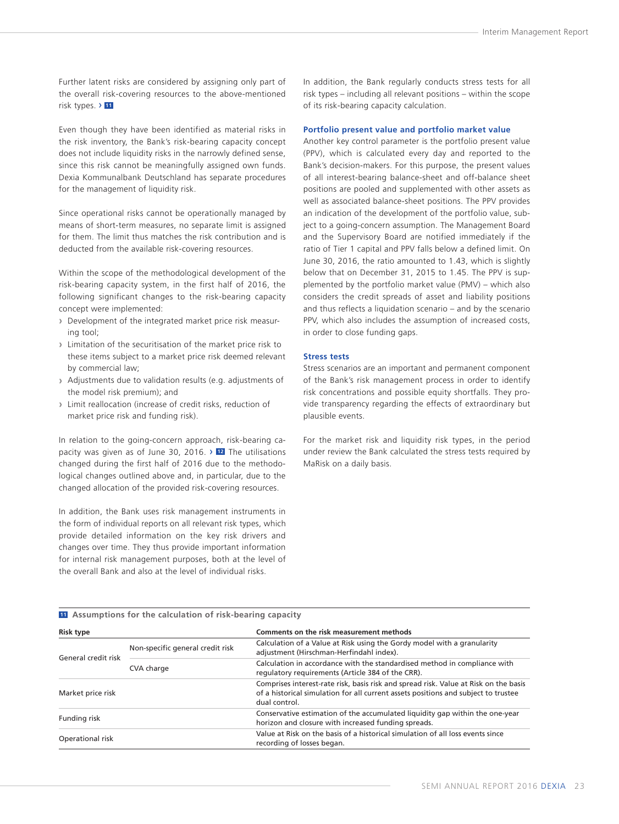Further latent risks are considered by assigning only part of the overall risk-covering resources to the above-mentioned risk types. › **<sup>11</sup>**

Even though they have been identified as material risks in the risk inventory, the Bank's risk-bearing capacity concept does not include liquidity risks in the narrowly defined sense, since this risk cannot be meaningfully assigned own funds. Dexia Kommunalbank Deutschland has separate procedures for the management of liquidity risk.

Since operational risks cannot be operationally managed by means of short-term measures, no separate limit is assigned for them. The limit thus matches the risk contribution and is deducted from the available risk-covering resources.

Within the scope of the methodological development of the risk-bearing capacity system, in the first half of 2016, the following significant changes to the risk-bearing capacity concept were implemented:

- **›** Development of the integrated market price risk measuring tool;
- **›** Limitation of the securitisation of the market price risk to these items subject to a market price risk deemed relevant by commercial law;
- **›** Adjustments due to validation results (e.g. adjustments of the model risk premium); and
- **›** Limit reallocation (increase of credit risks, reduction of market price risk and funding risk).

In relation to the going-concern approach, risk-bearing capacity was given as of June 30, 2016. › **<sup>12</sup>** The utilisations changed during the first half of 2016 due to the methodological changes outlined above and, in particular, due to the changed allocation of the provided risk-covering resources.

In addition, the Bank uses risk management instruments in the form of individual reports on all relevant risk types, which provide detailed information on the key risk drivers and changes over time. They thus provide important information for internal risk management purposes, both at the level of the overall Bank and also at the level of individual risks.

**11 Assumptions for the calculation of risk-bearing capacity**

In addition, the Bank regularly conducts stress tests for all risk types – including all relevant positions – within the scope of its risk-bearing capacity calculation.

#### **Portfolio present value and portfolio market value**

Another key control parameter is the portfolio present value (PPV), which is calculated every day and reported to the Bank's decision-makers. For this purpose, the present values of all interest-bearing balance-sheet and off-balance sheet positions are pooled and supplemented with other assets as well as associated balance-sheet positions. The PPV provides an indication of the development of the portfolio value, subject to a going-concern assumption. The Management Board and the Supervisory Board are notified immediately if the ratio of Tier 1 capital and PPV falls below a defined limit. On June 30, 2016, the ratio amounted to 1.43, which is slightly below that on December 31, 2015 to 1.45. The PPV is supplemented by the portfolio market value (PMV) – which also considers the credit spreads of asset and liability positions and thus reflects a liquidation scenario – and by the scenario PPV, which also includes the assumption of increased costs, in order to close funding gaps.

#### **Stress tests**

Stress scenarios are an important and permanent component of the Bank's risk management process in order to identify risk concentrations and possible equity shortfalls. They provide transparency regarding the effects of extraordinary but plausible events.

For the market risk and liquidity risk types, in the period under review the Bank calculated the stress tests required by MaRisk on a daily basis.

| <b>Risk type</b>    |                                  | Comments on the risk measurement methods                                                                                                                                                    |
|---------------------|----------------------------------|---------------------------------------------------------------------------------------------------------------------------------------------------------------------------------------------|
| General credit risk | Non-specific general credit risk | Calculation of a Value at Risk using the Gordy model with a granularity<br>adjustment (Hirschman-Herfindahl index).                                                                         |
|                     | CVA charge                       | Calculation in accordance with the standardised method in compliance with<br>regulatory requirements (Article 384 of the CRR).                                                              |
| Market price risk   |                                  | Comprises interest-rate risk, basis risk and spread risk. Value at Risk on the basis<br>of a historical simulation for all current assets positions and subject to trustee<br>dual control. |
| Funding risk        |                                  | Conservative estimation of the accumulated liquidity gap within the one-year<br>horizon and closure with increased funding spreads.                                                         |
| Operational risk    |                                  | Value at Risk on the basis of a historical simulation of all loss events since<br>recording of losses began.                                                                                |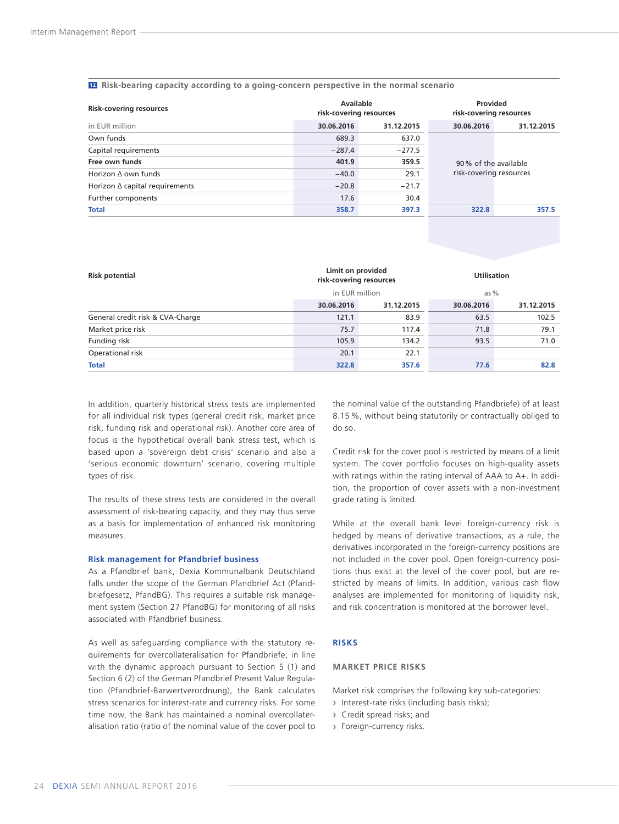#### <span id="page-25-0"></span>**12 Risk-bearing capacity according to a going-concern perspective in the normal scenario**

| <b>Risk-covering resources</b> | Available<br>risk-covering resources |            | Provided<br>risk-covering resources |            |  |
|--------------------------------|--------------------------------------|------------|-------------------------------------|------------|--|
| in EUR million                 | 30.06.2016                           | 31.12.2015 | 30.06.2016                          | 31.12.2015 |  |
| Own funds                      | 689.3                                | 637.0      |                                     |            |  |
| Capital requirements           | $-287.4$                             | $-277.5$   |                                     |            |  |
| Free own funds                 | 401.9                                | 359.5      | 90% of the available                |            |  |
| Horizon $\Delta$ own funds     | $-40.0$                              | 29.1       | risk-covering resources             |            |  |
| Horizon ∆ capital requirements | $-20.8$                              | $-21.7$    |                                     |            |  |
| Further components             | 17.6                                 | 30.4       |                                     |            |  |
| <b>Total</b>                   | 358.7                                | 397.3      | 322.8                               | 357.5      |  |

| <b>Risk potential</b>            | Limit on provided<br>risk-covering resources |            | <b>Utilisation</b> |            |  |
|----------------------------------|----------------------------------------------|------------|--------------------|------------|--|
|                                  | in EUR million                               |            | as $%$             |            |  |
|                                  | 30.06.2016                                   | 31.12.2015 | 30.06.2016         | 31.12.2015 |  |
| General credit risk & CVA-Charge | 121.1                                        | 83.9       | 63.5               | 102.5      |  |
| Market price risk                | 75.7                                         | 117.4      | 71.8               | 79.1       |  |
| Funding risk                     | 105.9                                        | 134.2      | 93.5               | 71.0       |  |
| Operational risk                 | 20.1                                         | 22.1       |                    |            |  |
| <b>Total</b>                     | 322.8                                        | 357.6      | 77.6               | 82.8       |  |

In addition, quarterly historical stress tests are implemented for all individual risk types (general credit risk, market price risk, funding risk and operational risk). Another core area of focus is the hypothetical overall bank stress test, which is based upon a 'sovereign debt crisis' scenario and also a 'serious economic downturn' scenario, covering multiple types of risk.

The results of these stress tests are considered in the overall assessment of risk-bearing capacity, and they may thus serve as a basis for implementation of enhanced risk monitoring measures.

#### **Risk management for Pfandbrief business**

As a Pfandbrief bank, Dexia Kommunalbank Deutschland falls under the scope of the German Pfandbrief Act (Pfandbriefgesetz, PfandBG). This requires a suitable risk management system (Section 27 PfandBG) for monitoring of all risks associated with Pfandbrief business.

As well as safeguarding compliance with the statutory requirements for overcollateralisation for Pfandbriefe, in line with the dynamic approach pursuant to Section 5 (1) and Section 6 (2) of the German Pfandbrief Present Value Regulation (Pfandbrief-Barwertverordnung), the Bank calculates stress scenarios for interest-rate and currency risks. For some time now, the Bank has maintained a nominal overcollateralisation ratio (ratio of the nominal value of the cover pool to

the nominal value of the outstanding Pfandbriefe) of at least 8.15 %, without being statutorily or contractually obliged to do so.

Credit risk for the cover pool is restricted by means of a limit system. The cover portfolio focuses on high-quality assets with ratings within the rating interval of AAA to A+. In addition, the proportion of cover assets with a non-investment grade rating is limited.

While at the overall bank level foreign-currency risk is hedged by means of derivative transactions, as a rule, the derivatives incorporated in the foreign-currency positions are not included in the cover pool. Open foreign-currency positions thus exist at the level of the cover pool, but are restricted by means of limits. In addition, various cash flow analyses are implemented for monitoring of liquidity risk, and risk concentration is monitored at the borrower level.

#### **RISKS**

#### **MARKET PRICE RISKS**

Market risk comprises the following key sub-categories:

- **›** Interest-rate risks (including basis risks);
- **›** Credit spread risks; and
- **›** Foreign-currency risks.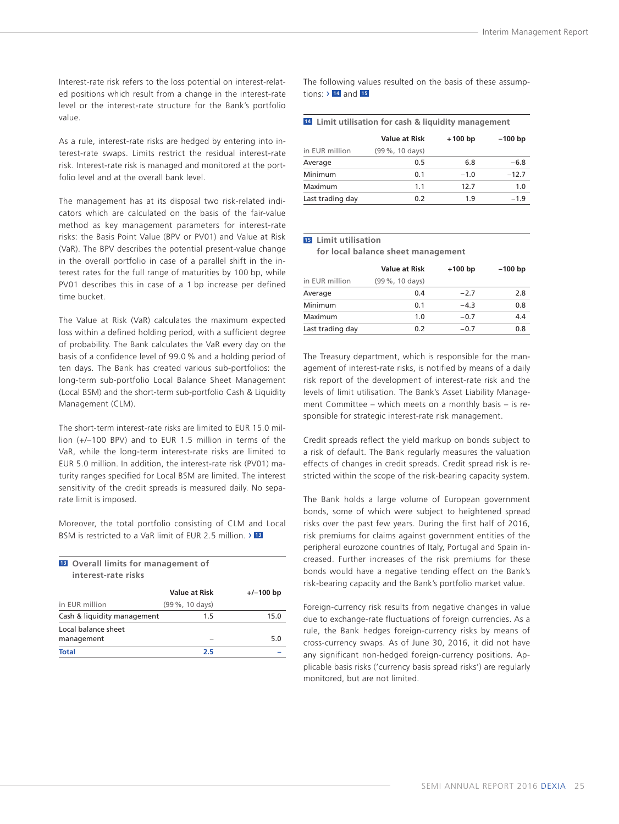Interest-rate risk refers to the loss potential on interest-related positions which result from a change in the interest-rate level or the interest-rate structure for the Bank's portfolio value.

As a rule, interest-rate risks are hedged by entering into interest-rate swaps. Limits restrict the residual interest-rate risk. Interest-rate risk is managed and monitored at the portfolio level and at the overall bank level.

The management has at its disposal two risk-related indicators which are calculated on the basis of the fair-value method as key management parameters for interest-rate risks: the Basis Point Value (BPV or PV01) and Value at Risk (VaR). The BPV describes the potential present-value change in the overall portfolio in case of a parallel shift in the interest rates for the full range of maturities by 100 bp, while PV01 describes this in case of a 1 bp increase per defined time bucket.

The Value at Risk (VaR) calculates the maximum expected loss within a defined holding period, with a sufficient degree of probability. The Bank calculates the VaR every day on the basis of a confidence level of 99.0 % and a holding period of ten days. The Bank has created various sub-portfolios: the long-term sub-portfolio Local Balance Sheet Management (Local BSM) and the short-term sub-portfolio Cash & Liquidity Management (CLM).

The short-term interest-rate risks are limited to EUR 15.0 million (+/–100 BPV) and to EUR 1.5 million in terms of the VaR, while the long-term interest-rate risks are limited to EUR 5.0 million. In addition, the interest-rate risk (PV01) maturity ranges specified for Local BSM are limited. The interest sensitivity of the credit spreads is measured daily. No separate limit is imposed.

Moreover, the total portfolio consisting of CLM and Local BSM is restricted to a VaR limit of EUR 2.5 million. › **<sup>13</sup>**

| <b>B</b> Overall limits for management of<br>interest-rate risks |                 |             |  |  |  |  |
|------------------------------------------------------------------|-----------------|-------------|--|--|--|--|
|                                                                  | Value at Risk   | $+/-100$ bp |  |  |  |  |
| in EUR million                                                   | (99 %, 10 days) |             |  |  |  |  |
| Cash & liquidity management                                      | 1.5             | 15.0        |  |  |  |  |
| Local balance sheet<br>management                                |                 | 5.0         |  |  |  |  |
| <b>Total</b>                                                     | 2.5             |             |  |  |  |  |

The following values resulted on the basis of these assumptions: › **<sup>14</sup>** and **<sup>15</sup>**

|  |  |  |  |  |  |  | 14 Limit utilisation for cash & liquidity management |
|--|--|--|--|--|--|--|------------------------------------------------------|
|--|--|--|--|--|--|--|------------------------------------------------------|

|                  | <b>Value at Risk</b> | $+100$ bp | $-100$ bp |
|------------------|----------------------|-----------|-----------|
| in EUR million   | (99 %, 10 days)      |           |           |
| Average          | 0.5                  | 6.8       | $-6.8$    |
| Minimum          | 0.1                  | $-1.0$    | $-12.7$   |
| Maximum          | 1.1                  | 12.7      | 1.0       |
| Last trading day | 0.2                  | 1.9       | $-1.9$    |

#### **15 Limit utilisation**

**for local balance sheet management**

|                  | <b>Value at Risk</b> | $+100$ bp | $-100$ bp |
|------------------|----------------------|-----------|-----------|
| in EUR million   | (99 %, 10 days)      |           |           |
| Average          | 0.4                  | $-2.7$    | 2.8       |
| Minimum          | 0.1                  | $-4.3$    | 0.8       |
| Maximum          | 1.0                  | $-0.7$    | 4.4       |
| Last trading day | 0.2                  | $-0.7$    | 0.8       |

The Treasury department, which is responsible for the management of interest-rate risks, is notified by means of a daily risk report of the development of interest-rate risk and the levels of limit utilisation. The Bank's Asset Liability Management Committee – which meets on a monthly basis – is responsible for strategic interest-rate risk management.

Credit spreads reflect the yield markup on bonds subject to a risk of default. The Bank regularly measures the valuation effects of changes in credit spreads. Credit spread risk is restricted within the scope of the risk-bearing capacity system.

The Bank holds a large volume of European government bonds, some of which were subject to heightened spread risks over the past few years. During the first half of 2016, risk premiums for claims against government entities of the peripheral eurozone countries of Italy, Portugal and Spain increased. Further increases of the risk premiums for these bonds would have a negative tending effect on the Bank's risk-bearing capacity and the Bank's portfolio market value.

Foreign-currency risk results from negative changes in value due to exchange-rate fluctuations of foreign currencies. As a rule, the Bank hedges foreign-currency risks by means of cross-currency swaps. As of June 30, 2016, it did not have any significant non-hedged foreign-currency positions. Applicable basis risks ('currency basis spread risks') are regularly monitored, but are not limited.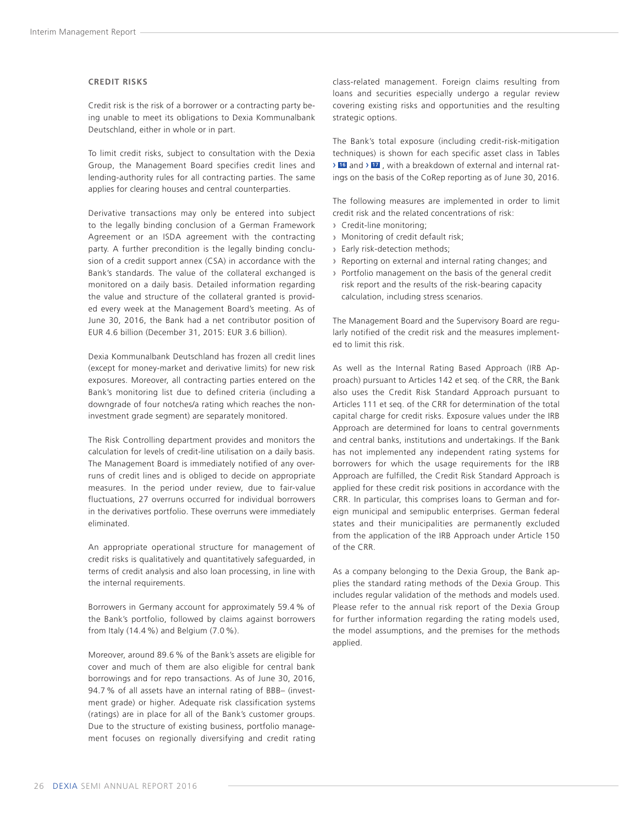#### **CREDIT RISKS**

Credit risk is the risk of a borrower or a contracting party being unable to meet its obligations to Dexia Kommunalbank Deutschland, either in whole or in part.

To limit credit risks, subject to consultation with the Dexia Group, the Management Board specifies credit lines and lending-authority rules for all contracting parties. The same applies for clearing houses and central counterparties.

Derivative transactions may only be entered into subject to the legally binding conclusion of a German Framework Agreement or an ISDA agreement with the contracting party. A further precondition is the legally binding conclusion of a credit support annex (CSA) in accordance with the Bank's standards. The value of the collateral exchanged is monitored on a daily basis. Detailed information regarding the value and structure of the collateral granted is provided every week at the Management Board's meeting. As of June 30, 2016, the Bank had a net contributor position of EUR 4.6 billion (December 31, 2015: EUR 3.6 billion).

Dexia Kommunalbank Deutschland has frozen all credit lines (except for money-market and derivative limits) for new risk exposures. Moreover, all contracting parties entered on the Bank's monitoring list due to defined criteria (including a downgrade of four notches/a rating which reaches the noninvestment grade segment) are separately monitored.

The Risk Controlling department provides and monitors the calculation for levels of credit-line utilisation on a daily basis. The Management Board is immediately notified of any overruns of credit lines and is obliged to decide on appropriate measures. In the period under review, due to fair-value fluctuations, 27 overruns occurred for individual borrowers in the derivatives portfolio. These overruns were immediately eliminated.

An appropriate operational structure for management of credit risks is qualitatively and quantitatively safeguarded, in terms of credit analysis and also loan processing, in line with the internal requirements.

Borrowers in Germany account for approximately 59.4 % of the Bank's portfolio, followed by claims against borrowers from Italy (14.4 %) and Belgium (7.0 %).

Moreover, around 89.6 % of the Bank's assets are eligible for cover and much of them are also eligible for central bank borrowings and for repo transactions. As of June 30, 2016, 94.7 % of all assets have an internal rating of BBB– (investment grade) or higher. Adequate risk classification systems (ratings) are in place for all of the Bank's customer groups. Due to the structure of existing business, portfolio management focuses on regionally diversifying and credit rating

class-related management. Foreign claims resulting from loans and securities especially undergo a regular review covering existing risks and opportunities and the resulting strategic options.

The Bank's total exposure (including credit-risk-mitigation techniques) is shown for each specific asset class in Tables › **<sup>16</sup>** and › **<sup>17</sup>** , with a breakdown of external and internal ratings on the basis of the CoRep reporting as of June 30, 2016.

The following measures are implemented in order to limit credit risk and the related concentrations of risk:

- **›** Credit-line monitoring;
- **›** Monitoring of credit default risk;
- **›** Early risk-detection methods;
- **›** Reporting on external and internal rating changes; and
- **›** Portfolio management on the basis of the general credit risk report and the results of the risk-bearing capacity calculation, including stress scenarios.

The Management Board and the Supervisory Board are regularly notified of the credit risk and the measures implemented to limit this risk.

As well as the Internal Rating Based Approach (IRB Approach) pursuant to Articles 142 et seq. of the CRR, the Bank also uses the Credit Risk Standard Approach pursuant to Articles 111 et seq. of the CRR for determination of the total capital charge for credit risks. Exposure values under the IRB Approach are determined for loans to central governments and central banks, institutions and undertakings. If the Bank has not implemented any independent rating systems for borrowers for which the usage requirements for the IRB Approach are fulfilled, the Credit Risk Standard Approach is applied for these credit risk positions in accordance with the CRR. In particular, this comprises loans to German and foreign municipal and semipublic enterprises. German federal states and their municipalities are permanently excluded from the application of the IRB Approach under Article 150 of the CRR.

As a company belonging to the Dexia Group, the Bank applies the standard rating methods of the Dexia Group. This includes regular validation of the methods and models used. Please refer to the annual risk report of the Dexia Group for further information regarding the rating models used, the model assumptions, and the premises for the methods applied.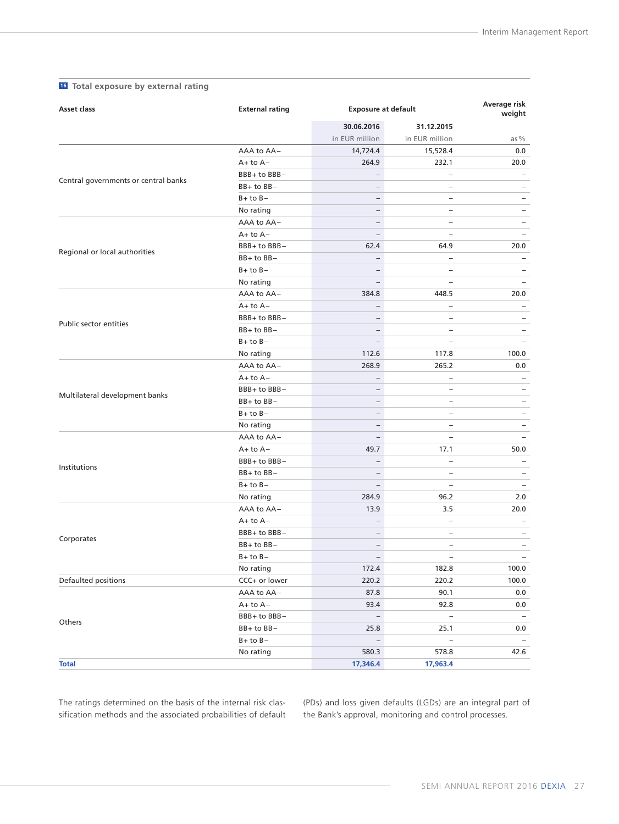| <b>Asset class</b>                   | <b>External rating</b> |                          | <b>Exposure at default</b> |                          |  |
|--------------------------------------|------------------------|--------------------------|----------------------------|--------------------------|--|
|                                      |                        | 30.06.2016               | 31.12.2015                 |                          |  |
|                                      |                        | in EUR million           | in EUR million             | as %                     |  |
|                                      | AAA to AA-             | 14,724.4                 | 15,528.4                   | 0.0                      |  |
|                                      | $A+$ to $A-$           | 264.9                    | 232.1                      | 20.0                     |  |
| Central governments or central banks | BBB+ to BBB-           | $\overline{\phantom{0}}$ | $\overline{\phantom{0}}$   | -                        |  |
|                                      | BB+ to BB-             | $\overline{\phantom{0}}$ | $\overline{\phantom{0}}$   | $\overline{\phantom{0}}$ |  |
|                                      | $B+$ to $B-$           | $\overline{\phantom{0}}$ | ÷                          | $\overline{\phantom{0}}$ |  |
|                                      | No rating              | $\overline{\phantom{a}}$ | -                          | $\overline{\phantom{a}}$ |  |
|                                      | AAA to AA-             | $\overline{\phantom{a}}$ | $\overline{\phantom{0}}$   | $\qquad \qquad -$        |  |
|                                      | $A+$ to $A-$           | $\overline{\phantom{a}}$ | ÷.                         | $\overline{\phantom{a}}$ |  |
| Regional or local authorities        | BBB+ to BBB-           | 62.4                     | 64.9                       | 20.0                     |  |
|                                      | $BB+$ to $BB-$         | $\overline{\phantom{0}}$ | $\overline{\phantom{0}}$   | $\qquad \qquad -$        |  |
|                                      | $B+$ to $B-$           | -                        | -                          | $\qquad \qquad -$        |  |
|                                      | No rating              | -                        | -                          | $\qquad \qquad -$        |  |
|                                      | AAA to AA-             | 384.8                    | 448.5                      | 20.0                     |  |
|                                      | $A+$ to $A-$           | $\overline{\phantom{0}}$ | ÷.                         |                          |  |
| Public sector entities               | BBB+ to BBB-           | $\overline{\phantom{0}}$ | $\overline{\phantom{0}}$   | $\overline{\phantom{0}}$ |  |
|                                      | $BB+$ to $BB-$         | $\overline{\phantom{0}}$ | $\overline{\phantom{0}}$   | $\qquad \qquad -$        |  |
|                                      | $B+$ to $B-$           | $\overline{\phantom{0}}$ | $\equiv$                   | $\overline{\phantom{0}}$ |  |
|                                      | No rating              | 112.6                    | 117.8                      | 100.0                    |  |
|                                      | AAA to AA-             | 268.9                    | 265.2                      | 0.0                      |  |
| Multilateral development banks       | $A+$ to $A-$           | $\qquad \qquad -$        | $\overline{\phantom{0}}$   | $\overline{\phantom{0}}$ |  |
|                                      | BBB+ to BBB-           | $\overline{\phantom{0}}$ | $\overline{\phantom{0}}$   | $\overline{\phantom{0}}$ |  |
|                                      | BB+ to BB-             | $\overline{\phantom{0}}$ | -                          | $\overline{\phantom{0}}$ |  |
|                                      | $B+$ to $B-$           | $\overline{\phantom{0}}$ | -                          | $\overline{\phantom{0}}$ |  |
|                                      | No rating              | -                        | -                          | $\qquad \qquad -$        |  |
|                                      | AAA to AA-             | $\qquad \qquad -$        | -                          | $\qquad \qquad -$        |  |
|                                      | $A+$ to $A-$           | 49.7                     | 17.1                       | 50.0                     |  |
| Institutions                         | BBB+ to BBB-           | $\overline{\phantom{0}}$ | $\overline{\phantom{0}}$   | $\overline{\phantom{0}}$ |  |
|                                      | BB+ to BB-             | $\overline{\phantom{a}}$ | $\overline{\phantom{0}}$   | $\qquad \qquad -$        |  |
|                                      | $B+$ to $B-$           | $\overline{\phantom{0}}$ | $\overline{\phantom{0}}$   | $\overline{\phantom{a}}$ |  |
|                                      | No rating              | 284.9                    | 96.2                       | 2.0                      |  |
|                                      | AAA to AA-             | 13.9                     | 3.5                        | 20.0                     |  |
|                                      | $A+$ to $A-$           | $\qquad \qquad -$        | $\overline{\phantom{0}}$   | $\qquad \qquad -$        |  |
| Corporates                           | BBB+ to BBB-           | $\overline{\phantom{0}}$ | $\overline{\phantom{0}}$   | -                        |  |
|                                      | BB+ to BB-             | -                        | -                          | $\overline{\phantom{a}}$ |  |
|                                      | $B+$ to $B-$           | $\overline{\phantom{a}}$ | $\overline{\phantom{0}}$   | $\overline{\phantom{0}}$ |  |
|                                      | No rating              | 172.4                    | 182.8                      | 100.0                    |  |
| Defaulted positions                  | CCC+ or lower          | 220.2                    | 220.2                      | 100.0                    |  |
|                                      | AAA to AA-             | 87.8                     | 90.1                       | 0.0                      |  |
|                                      | $A+$ to $A-$           | 93.4                     | 92.8                       | 0.0                      |  |
| Others                               | BBB+ to BBB-           | $\overline{\phantom{a}}$ | $\overline{\phantom{a}}$   | $\overline{\phantom{m}}$ |  |
|                                      | BB+ to BB-             | 25.8                     | 25.1                       | 0.0                      |  |
|                                      | $B+$ to $B-$           | $\overline{\phantom{a}}$ | $\overline{\phantom{a}}$   |                          |  |
|                                      | No rating              | 580.3                    | 578.8                      | 42.6                     |  |
| <b>Total</b>                         |                        | 17,346.4                 | 17,963.4                   |                          |  |

### **16 Total exposure by external rating**

The ratings determined on the basis of the internal risk classification methods and the associated probabilities of default (PDs) and loss given defaults (LGDs) are an integral part of the Bank's approval, monitoring and control processes.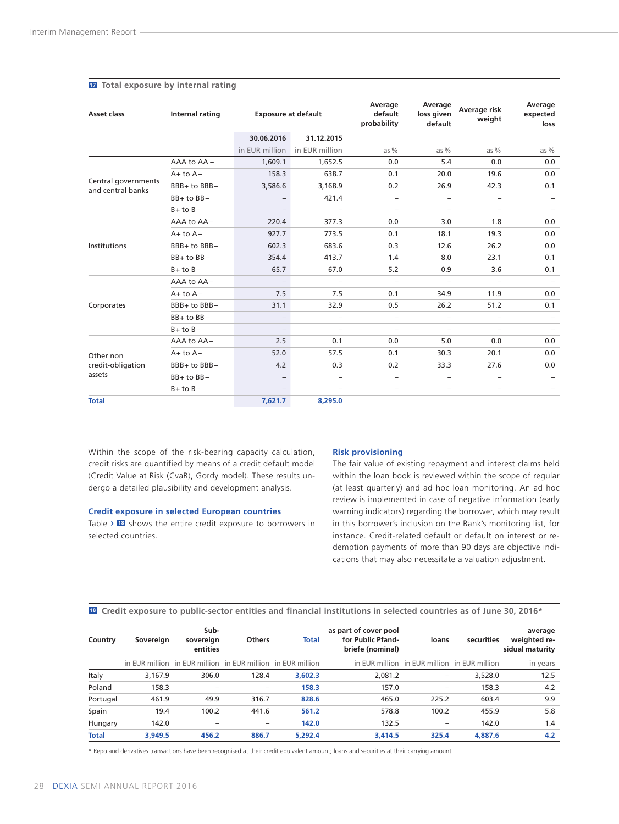| Asset class                              | Internal rating | <b>Exposure at default</b> |                          | Average<br>default<br>probability | Average<br>loss given<br>default | Average risk<br>weight   | Average<br>expected<br>loss |
|------------------------------------------|-----------------|----------------------------|--------------------------|-----------------------------------|----------------------------------|--------------------------|-----------------------------|
|                                          |                 | 30.06.2016                 | 31.12.2015               |                                   |                                  |                          |                             |
|                                          |                 | in EUR million             | in EUR million           | as $%$                            | as $%$                           | as $%$                   | as $%$                      |
|                                          | AAA to AA -     | 1,609.1                    | 1,652.5                  | 0.0                               | 5.4                              | 0.0                      | 0.0                         |
|                                          | $A+$ to $A-$    | 158.3                      | 638.7                    | 0.1                               | 20.0                             | 19.6                     | 0.0                         |
| Central governments<br>and central banks | BBB+ to BBB-    | 3,586.6                    | 3,168.9                  | 0.2                               | 26.9                             | 42.3                     | 0.1                         |
|                                          | $BB+$ to $BB-$  | $\overline{\phantom{m}}$   | 421.4                    | -                                 | -                                | -                        |                             |
|                                          | $B+$ to $B-$    | $\overline{\phantom{m}}$   | $\overline{\phantom{0}}$ | -                                 | $\overline{\phantom{a}}$         | -                        |                             |
|                                          | AAA to AA-      | 220.4                      | 377.3                    | 0.0                               | 3.0                              | 1.8                      | 0.0                         |
|                                          | $A+$ to $A-$    | 927.7                      | 773.5                    | 0.1                               | 18.1                             | 19.3                     | 0.0                         |
| Institutions                             | BBB+ to BBB-    | 602.3                      | 683.6                    | 0.3                               | 12.6                             | 26.2                     | 0.0                         |
|                                          | $BB+$ to $BB-$  | 354.4                      | 413.7                    | 1.4                               | 8.0                              | 23.1                     | 0.1                         |
|                                          | $B+$ to $B-$    | 65.7                       | 67.0                     | 5.2                               | 0.9                              | 3.6                      | 0.1                         |
|                                          | AAA to AA-      | $\overline{\phantom{a}}$   | $\overline{\phantom{0}}$ | $\overline{\phantom{0}}$          | $\qquad \qquad -$                | -                        | $\overline{\phantom{m}}$    |
|                                          | $A+$ to $A-$    | 7.5                        | 7.5                      | 0.1                               | 34.9                             | 11.9                     | 0.0                         |
| Corporates                               | BBB+ to BBB-    | 31.1                       | 32.9                     | 0.5                               | 26.2                             | 51.2                     | 0.1                         |
|                                          | $BB+$ to $BB-$  | $\overline{\phantom{a}}$   | $\qquad \qquad -$        | -                                 | $\overline{\phantom{a}}$         | -                        | $\overline{\phantom{0}}$    |
|                                          | $B+$ to $B-$    | $\overline{\phantom{m}}$   | $\overline{\phantom{0}}$ | ÷                                 | $\overline{\phantom{a}}$         | -                        | $\overline{\phantom{a}}$    |
|                                          | AAA to AA-      | 2.5                        | 0.1                      | 0.0                               | 5.0                              | 0.0                      | 0.0                         |
| Other non                                | $A+$ to $A-$    | 52.0                       | 57.5                     | 0.1                               | 30.3                             | 20.1                     | 0.0                         |
| credit-obligation                        | BBB+ to BBB-    | 4.2                        | 0.3                      | 0.2                               | 33.3                             | 27.6                     | 0.0                         |
| assets                                   | BB+ to BB-      | $\overline{\phantom{a}}$   | -                        | $\overline{\phantom{0}}$          | $\overline{\phantom{0}}$         | $\overline{\phantom{0}}$ |                             |
|                                          | $B+$ to $B-$    | $\overline{\phantom{m}}$   | -                        | -                                 | $\qquad \qquad -$                | -                        | $\overline{\phantom{m}}$    |
| <b>Total</b>                             |                 | 7,621.7                    | 8,295.0                  |                                   |                                  |                          |                             |

#### **<sup>17</sup> Total exposure by internal rating**

Within the scope of the risk-bearing capacity calculation, credit risks are quantified by means of a credit default model (Credit Value at Risk (CvaR), Gordy model). These results undergo a detailed plausibility and development analysis.

#### **Credit exposure in selected European countries**

Table › **<sup>18</sup>** shows the entire credit exposure to borrowers in selected countries.

#### **Risk provisioning**

The fair value of existing repayment and interest claims held within the loan book is reviewed within the scope of regular (at least quarterly) and ad hoc loan monitoring. An ad hoc review is implemented in case of negative information (early warning indicators) regarding the borrower, which may result in this borrower's inclusion on the Bank's monitoring list, for instance. Credit-related default or default on interest or redemption payments of more than 90 days are objective indications that may also necessitate a valuation adjustment.

| Country      | Sovereign | Sub-<br>sovereign<br>entities                               | <b>Others</b> | <b>Total</b> | as part of cover pool<br>for Public Pfand-<br>briefe (nominal) | loans                                        | securities | average<br>weighted re-<br>sidual maturity |
|--------------|-----------|-------------------------------------------------------------|---------------|--------------|----------------------------------------------------------------|----------------------------------------------|------------|--------------------------------------------|
|              |           | in EUR million in EUR million in EUR million in EUR million |               |              |                                                                | in EUR million in EUR million in EUR million |            | in years                                   |
| Italy        | 3,167.9   | 306.0                                                       | 128.4         | 3.602.3      | 2,081.2                                                        | -                                            | 3,528.0    | 12.5                                       |
| Poland       | 158.3     |                                                             | -             | 158.3        | 157.0                                                          | -                                            | 158.3      | 4.2                                        |
| Portugal     | 461.9     | 49.9                                                        | 316.7         | 828.6        | 465.0                                                          | 225.2                                        | 603.4      | 9.9                                        |
| Spain        | 19.4      | 100.2                                                       | 441.6         | 561.2        | 578.8                                                          | 100.2                                        | 455.9      | 5.8                                        |
| Hungary      | 142.0     |                                                             | -             | 142.0        | 132.5                                                          | -                                            | 142.0      | 1.4                                        |
| <b>Total</b> | 3.949.5   | 456.2                                                       | 886.7         | 5.292.4      | 3.414.5                                                        | 325.4                                        | 4.887.6    | 4.2                                        |

**18 Credit exposure to public-sector entities and financial institutions in selected countries as of June 30, 2016\***

\* Repo and derivatives transactions have been recognised at their credit equivalent amount; loans and securities at their carrying amount.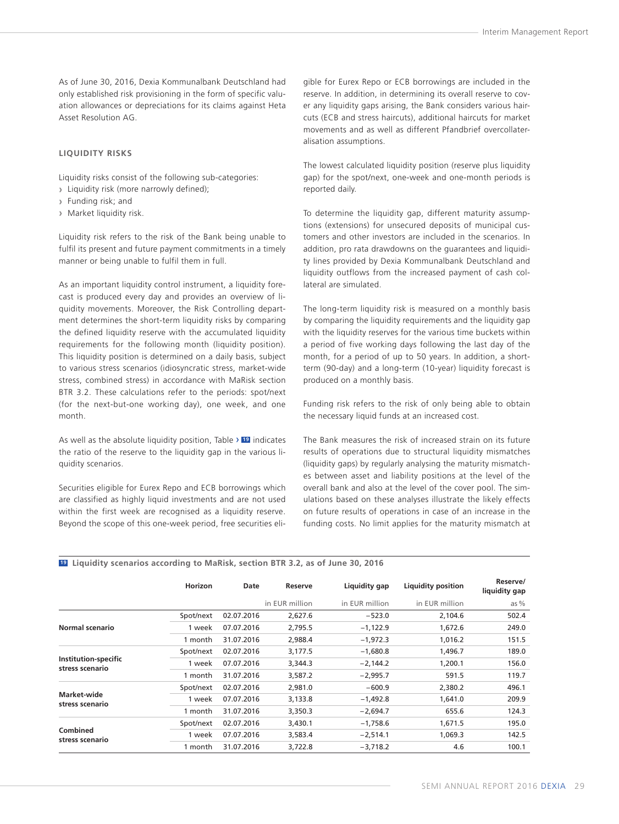As of June 30, 2016, Dexia Kommunalbank Deutschland had only established risk provisioning in the form of specific valuation allowances or depreciations for its claims against Heta Asset Resolution AG.

#### **LIQUIDITY RISKS**

Liquidity risks consist of the following sub-categories:

- **›** Liquidity risk (more narrowly defined);
- **›** Funding risk; and
- **›** Market liquidity risk.

Liquidity risk refers to the risk of the Bank being unable to fulfil its present and future payment commitments in a timely manner or being unable to fulfil them in full.

As an important liquidity control instrument, a liquidity forecast is produced every day and provides an overview of liquidity movements. Moreover, the Risk Controlling department determines the short-term liquidity risks by comparing the defined liquidity reserve with the accumulated liquidity requirements for the following month (liquidity position). This liquidity position is determined on a daily basis, subject to various stress scenarios (idiosyncratic stress, market-wide stress, combined stress) in accordance with MaRisk section BTR 3.2. These calculations refer to the periods: spot/next (for the next-but-one working day), one week, and one month.

As well as the absolute liquidity position, Table › **<sup>19</sup>** indicates the ratio of the reserve to the liquidity gap in the various liquidity scenarios.

Securities eligible for Eurex Repo and ECB borrowings which are classified as highly liquid investments and are not used within the first week are recognised as a liquidity reserve. Beyond the scope of this one-week period, free securities eligible for Eurex Repo or ECB borrowings are included in the reserve. In addition, in determining its overall reserve to cover any liquidity gaps arising, the Bank considers various haircuts (ECB and stress haircuts), additional haircuts for market movements and as well as different Pfandbrief overcollateralisation assumptions.

The lowest calculated liquidity position (reserve plus liquidity gap) for the spot/next, one-week and one-month periods is reported daily.

To determine the liquidity gap, different maturity assumptions (extensions) for unsecured deposits of municipal customers and other investors are included in the scenarios. In addition, pro rata drawdowns on the guarantees and liquidity lines provided by Dexia Kommunalbank Deutschland and liquidity outflows from the increased payment of cash collateral are simulated.

The long-term liquidity risk is measured on a monthly basis by comparing the liquidity requirements and the liquidity gap with the liquidity reserves for the various time buckets within a period of five working days following the last day of the month, for a period of up to 50 years. In addition, a shortterm (90-day) and a long-term (10-year) liquidity forecast is produced on a monthly basis.

Funding risk refers to the risk of only being able to obtain the necessary liquid funds at an increased cost.

The Bank measures the risk of increased strain on its future results of operations due to structural liquidity mismatches (liquidity gaps) by regularly analysing the maturity mismatches between asset and liability positions at the level of the overall bank and also at the level of the cover pool. The simulations based on these analyses illustrate the likely effects on future results of operations in case of an increase in the funding costs. No limit applies for the maturity mismatch at

#### **19 Liquidity scenarios according to MaRisk, section BTR 3.2, as of June 30, 2016**

|                                                | Horizon   | Date       | Reserve        | Liquidity gap  | <b>Liquidity position</b> | Reserve/<br>liquidity gap |
|------------------------------------------------|-----------|------------|----------------|----------------|---------------------------|---------------------------|
|                                                |           |            | in EUR million | in EUR million | in EUR million            | as $%$                    |
|                                                | Spot/next | 02.07.2016 | 2,627.6        | $-523.0$       | 2,104.6                   | 502.4                     |
| Normal scenario                                | 1 week    | 07.07.2016 | 2,795.5        | $-1,122.9$     | 1,672.6                   | 249.0                     |
|                                                | 1 month   | 31.07.2016 | 2,988.4        | $-1,972.3$     | 1,016.2                   | 151.5                     |
|                                                | Spot/next | 02.07.2016 | 3,177.5        | $-1,680.8$     | 1,496.7                   | 189.0                     |
| <b>Institution-specific</b><br>stress scenario | 1 week    | 07.07.2016 | 3,344.3        | $-2,144.2$     | 1,200.1                   | 156.0                     |
|                                                | 1 month   | 31.07.2016 | 3,587.2        | $-2,995.7$     | 591.5                     | 119.7                     |
|                                                | Spot/next | 02.07.2016 | 2,981.0        | $-600.9$       | 2.380.2                   | 496.1                     |
| Market-wide<br>stress scenario                 | 1 week    | 07.07.2016 | 3,133.8        | $-1,492.8$     | 1,641.0                   | 209.9                     |
|                                                | 1 month   | 31.07.2016 | 3,350.3        | $-2,694.7$     | 655.6                     | 124.3                     |
| Combined<br>stress scenario                    | Spot/next | 02.07.2016 | 3,430.1        | $-1,758.6$     | 1,671.5                   | 195.0                     |
|                                                | 1 week    | 07.07.2016 | 3,583.4        | $-2,514.1$     | 1,069.3                   | 142.5                     |
|                                                | 1 month   | 31.07.2016 | 3,722.8        | $-3,718.2$     | 4.6                       | 100.1                     |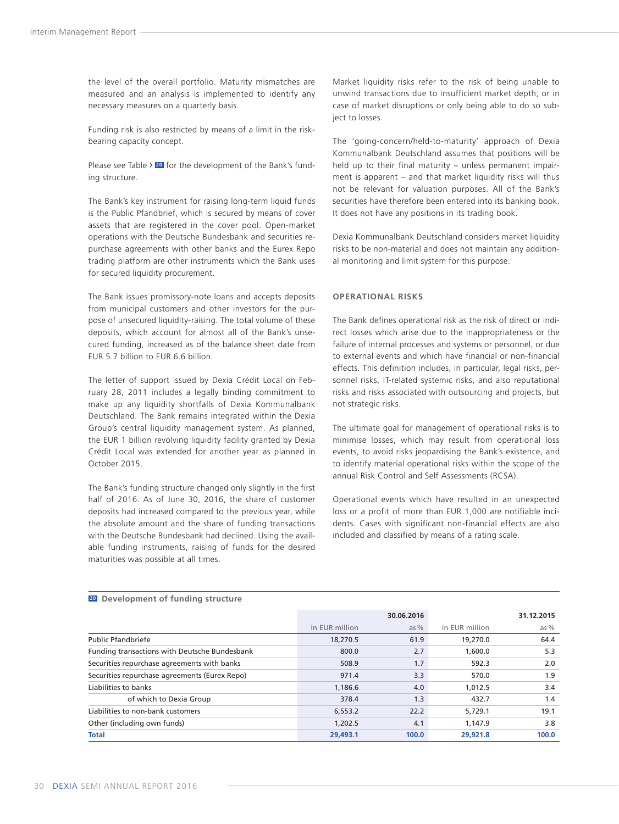the level of the overall portfolio. Maturity mismatches are measured and an analysis is implemented to identify any necessary measures on a quarterly basis.

Funding risk is also restricted by means of a limit in the riskbearing capacity concept.

Please see Table › **<sup>20</sup>** for the development of the Bank's funding structure.

The Bank's key instrument for raising long-term liquid funds is the Public Pfandbrief, which is secured by means of cover assets that are registered in the cover pool. Open-market operations with the Deutsche Bundesbank and securities repurchase agreements with other banks and the Eurex Repo trading platform are other instruments which the Bank uses for secured liquidity procurement.

The Bank issues promissory-note loans and accepts deposits from municipal customers and other investors for the purpose of unsecured liquidity-raising. The total volume of these deposits, which account for almost all of the Bank's unsecured funding, increased as of the balance sheet date from EUR 5.7 billion to EUR 6.6 billion.

The letter of support issued by Dexia Crédit Local on February 28, 2011 includes a legally binding commitment to make up any liquidity shortfalls of Dexia Kommunalbank Deutschland. The Bank remains integrated within the Dexia Group's central liquidity management system. As planned, the EUR 1 billion revolving liquidity facility granted by Dexia Crédit Local was extended for another year as planned in October 2015.

The Bank's funding structure changed only slightly in the first half of 2016. As of June 30, 2016, the share of customer deposits had increased compared to the previous year, while the absolute amount and the share of funding transactions with the Deutsche Bundesbank had declined. Using the available funding instruments, raising of funds for the desired maturities was possible at all times.

Market liquidity risks refer to the risk of being unable to unwind transactions due to insufficient market depth, or in case of market disruptions or only being able to do so subject to losses.

The 'going-concern/held-to-maturity' approach of Dexia Kommunalbank Deutschland assumes that positions will be held up to their final maturity – unless permanent impairment is apparent – and that market liquidity risks will thus not be relevant for valuation purposes. All of the Bank's securities have therefore been entered into its banking book. It does not have any positions in its trading book.

Dexia Kommunalbank Deutschland considers market liquidity risks to be non-material and does not maintain any additional monitoring and limit system for this purpose.

#### **OPERATIONAL RISKS**

The Bank defines operational risk as the risk of direct or indirect losses which arise due to the inappropriateness or the failure of internal processes and systems or personnel, or due to external events and which have financial or non-financial effects. This definition includes, in particular, legal risks, personnel risks, IT-related systemic risks, and also reputational risks and risks associated with outsourcing and projects, but not strategic risks.

The ultimate goal for management of operational risks is to minimise losses, which may result from operational loss events, to avoid risks jeopardising the Bank's existence, and to identify material operational risks within the scope of the annual Risk Control and Self Assessments (RCSA).

Operational events which have resulted in an unexpected loss or a profit of more than EUR 1,000 are notifiable incidents. Cases with significant non-financial effects are also included and classified by means of a rating scale.

|                                               |                | 30.06.2016 |                | 31.12.2015 |
|-----------------------------------------------|----------------|------------|----------------|------------|
|                                               | in EUR million | as $%$     | in EUR million | as $%$     |
| <b>Public Pfandbriefe</b>                     | 18,270.5       | 61.9       | 19,270.0       | 64.4       |
| Funding transactions with Deutsche Bundesbank | 800.0          | 2.7        | 1.600.0        | 5.3        |
| Securities repurchase agreements with banks   | 508.9          | 1.7        | 592.3          | 2.0        |
| Securities repurchase agreements (Eurex Repo) | 971.4          | 3.3        | 570.0          | 1.9        |
| Liabilities to banks                          | 1.186.6        | 4.0        | 1.012.5        | 3.4        |
| of which to Dexia Group                       | 378.4          | 1.3        | 432.7          | 1.4        |
| Liabilities to non-bank customers             | 6.553.2        | 22.2       | 5.729.1        | 19.1       |
| Other (including own funds)                   | 1.202.5        | 4.1        | 1.147.9        | 3.8        |
| <b>Total</b>                                  | 29,493.1       | 100.0      | 29,921.8       | 100.0      |

**20 Development of funding structure**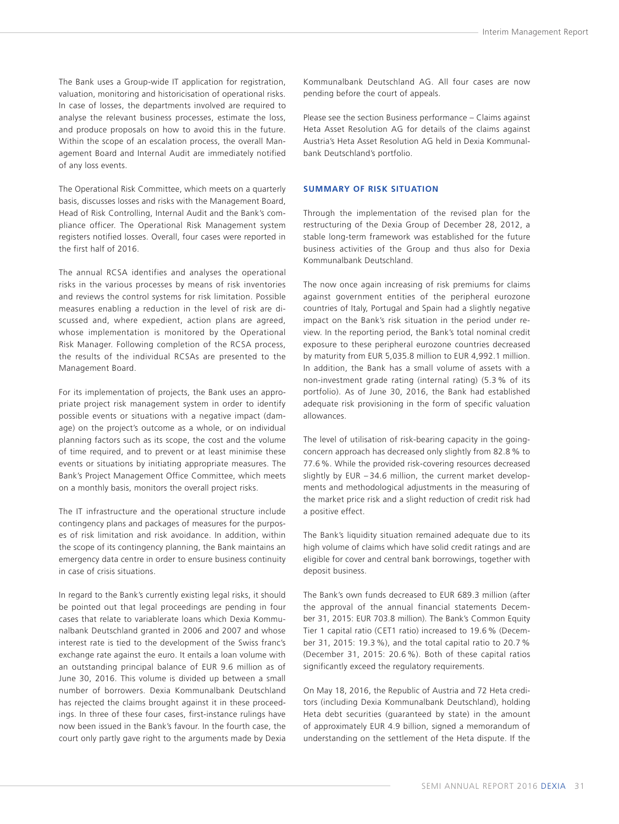<span id="page-32-0"></span>The Bank uses a Group-wide IT application for registration, valuation, monitoring and historicisation of operational risks. In case of losses, the departments involved are required to analyse the relevant business processes, estimate the loss, and produce proposals on how to avoid this in the future. Within the scope of an escalation process, the overall Management Board and Internal Audit are immediately notified of any loss events.

The Operational Risk Committee, which meets on a quarterly basis, discusses losses and risks with the Management Board, Head of Risk Controlling, Internal Audit and the Bank's compliance officer. The Operational Risk Management system registers notified losses. Overall, four cases were reported in the first half of 2016.

The annual RCSA identifies and analyses the operational risks in the various processes by means of risk inventories and reviews the control systems for risk limitation. Possible measures enabling a reduction in the level of risk are discussed and, where expedient, action plans are agreed, whose implementation is monitored by the Operational Risk Manager. Following completion of the RCSA process, the results of the individual RCSAs are presented to the Management Board.

For its implementation of projects, the Bank uses an appropriate project risk management system in order to identify possible events or situations with a negative impact (damage) on the project's outcome as a whole, or on individual planning factors such as its scope, the cost and the volume of time required, and to prevent or at least minimise these events or situations by initiating appropriate measures. The Bank's Project Management Office Committee, which meets on a monthly basis, monitors the overall project risks.

The IT infrastructure and the operational structure include contingency plans and packages of measures for the purposes of risk limitation and risk avoidance. In addition, within the scope of its contingency planning, the Bank maintains an emergency data centre in order to ensure business continuity in case of crisis situations.

In regard to the Bank's currently existing legal risks, it should be pointed out that legal proceedings are pending in four cases that relate to variablerate loans which Dexia Kommunalbank Deutschland granted in 2006 and 2007 and whose interest rate is tied to the development of the Swiss franc's exchange rate against the euro. It entails a loan volume with an outstanding principal balance of EUR 9.6 million as of June 30, 2016. This volume is divided up between a small number of borrowers. Dexia Kommunalbank Deutschland has rejected the claims brought against it in these proceedings. In three of these four cases, first-instance rulings have now been issued in the Bank's favour. In the fourth case, the court only partly gave right to the arguments made by Dexia

Kommunalbank Deutschland AG. All four cases are now pending before the court of appeals.

Please see the section Business performance – Claims against Heta Asset Resolution AG for details of the claims against Austria's Heta Asset Resolution AG held in Dexia Kommunalbank Deutschland's portfolio.

#### **SUMMARY OF RISK SITUATION**

Through the implementation of the revised plan for the restructuring of the Dexia Group of December 28, 2012, a stable long-term framework was established for the future business activities of the Group and thus also for Dexia Kommunalbank Deutschland.

The now once again increasing of risk premiums for claims against government entities of the peripheral eurozone countries of Italy, Portugal and Spain had a slightly negative impact on the Bank's risk situation in the period under review. In the reporting period, the Bank's total nominal credit exposure to these peripheral eurozone countries decreased by maturity from EUR 5,035.8 million to EUR 4,992.1 million. In addition, the Bank has a small volume of assets with a non-investment grade rating (internal rating) (5.3 % of its portfolio). As of June 30, 2016, the Bank had established adequate risk provisioning in the form of specific valuation allowances.

The level of utilisation of risk-bearing capacity in the goingconcern approach has decreased only slightly from 82.8 % to 77.6%. While the provided risk-covering resources decreased slightly by EUR – 34.6 million, the current market developments and methodological adjustments in the measuring of the market price risk and a slight reduction of credit risk had a positive effect.

The Bank's liquidity situation remained adequate due to its high volume of claims which have solid credit ratings and are eligible for cover and central bank borrowings, together with deposit business.

The Bank's own funds decreased to EUR 689.3 million (after the approval of the annual financial statements December 31, 2015: EUR 703.8 million). The Bank's Common Equity Tier 1 capital ratio (CET1 ratio) increased to 19.6 % (December 31, 2015: 19.3 %), and the total capital ratio to 20.7 % (December 31, 2015: 20.6 %). Both of these capital ratios significantly exceed the regulatory requirements.

On May 18, 2016, the Republic of Austria and 72 Heta creditors (including Dexia Kommunalbank Deutschland), holding Heta debt securities (guaranteed by state) in the amount of approximately EUR 4.9 billion, signed a memorandum of understanding on the settlement of the Heta dispute. If the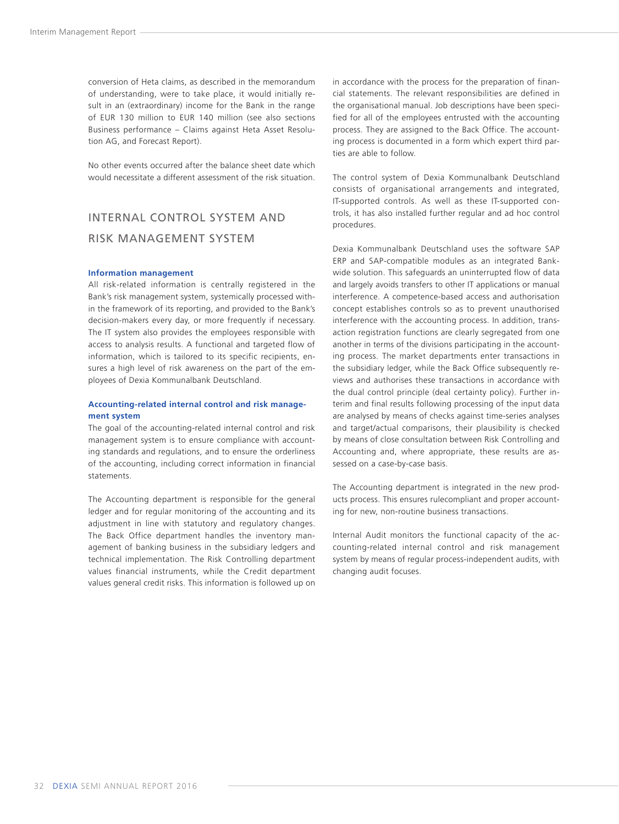<span id="page-33-0"></span>conversion of Heta claims, as described in the memorandum of understanding, were to take place, it would initially result in an (extraordinary) income for the Bank in the range of EUR 130 million to EUR 140 million (see also sections Business performance – Claims against Heta Asset Resolution AG, and Forecast Report).

No other events occurred after the balance sheet date which would necessitate a different assessment of the risk situation.

## INTERNAL CONTROL SYSTEM AND RISK MANAGEMENT SYSTEM

#### **Information management**

All risk-related information is centrally registered in the Bank's risk management system, systemically processed within the framework of its reporting, and provided to the Bank's decision-makers every day, or more frequently if necessary. The IT system also provides the employees responsible with access to analysis results. A functional and targeted flow of information, which is tailored to its specific recipients, ensures a high level of risk awareness on the part of the employees of Dexia Kommunalbank Deutschland.

#### **Accounting-related internal control and risk management system**

The goal of the accounting-related internal control and risk management system is to ensure compliance with accounting standards and regulations, and to ensure the orderliness of the accounting, including correct information in financial statements.

The Accounting department is responsible for the general ledger and for regular monitoring of the accounting and its adjustment in line with statutory and regulatory changes. The Back Office department handles the inventory management of banking business in the subsidiary ledgers and technical implementation. The Risk Controlling department values financial instruments, while the Credit department values general credit risks. This information is followed up on

in accordance with the process for the preparation of financial statements. The relevant responsibilities are defined in the organisational manual. Job descriptions have been specified for all of the employees entrusted with the accounting process. They are assigned to the Back Office. The accounting process is documented in a form which expert third parties are able to follow.

The control system of Dexia Kommunalbank Deutschland consists of organisational arrangements and integrated, IT-supported controls. As well as these IT-supported controls, it has also installed further regular and ad hoc control procedures.

Dexia Kommunalbank Deutschland uses the software SAP ERP and SAP-compatible modules as an integrated Bankwide solution. This safeguards an uninterrupted flow of data and largely avoids transfers to other IT applications or manual interference. A competence-based access and authorisation concept establishes controls so as to prevent unauthorised interference with the accounting process. In addition, transaction registration functions are clearly segregated from one another in terms of the divisions participating in the accounting process. The market departments enter transactions in the subsidiary ledger, while the Back Office subsequently reviews and authorises these transactions in accordance with the dual control principle (deal certainty policy). Further interim and final results following processing of the input data are analysed by means of checks against time-series analyses and target/actual comparisons, their plausibility is checked by means of close consultation between Risk Controlling and Accounting and, where appropriate, these results are assessed on a case-by-case basis.

The Accounting department is integrated in the new products process. This ensures rulecompliant and proper accounting for new, non-routine business transactions.

Internal Audit monitors the functional capacity of the accounting-related internal control and risk management system by means of regular process-independent audits, with changing audit focuses.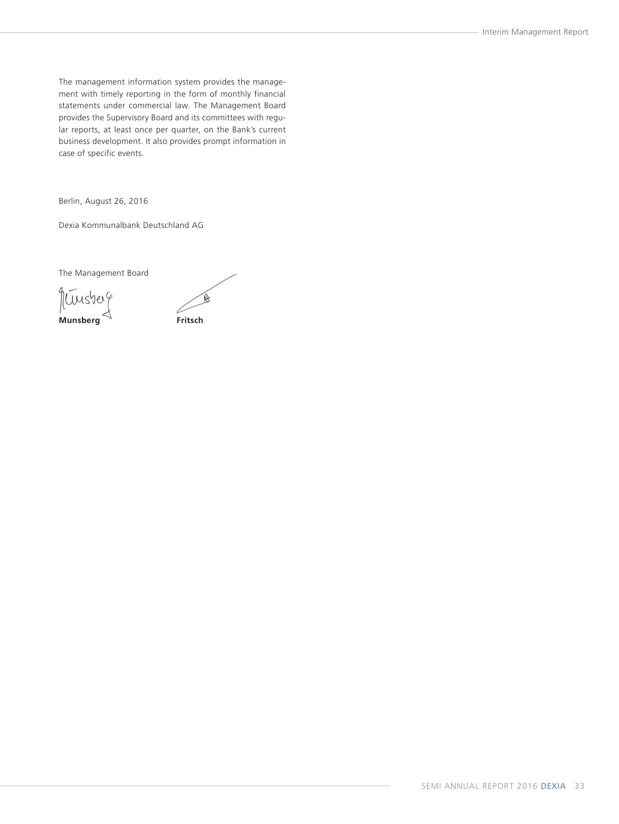The management information system provides the management with timely reporting in the form of monthly financial statements under commercial law. The Management Board provides the Supervisory Board and its committees with regular reports, at least once per quarter, on the Bank's current business development. It also provides prompt information in case of specific events.

Berlin, August 26, 2016

Dexia Kommunalbank Deutschland AG

The Management Board

quinsterg **Munsberg Fritsch**

 $\mathbb{R}$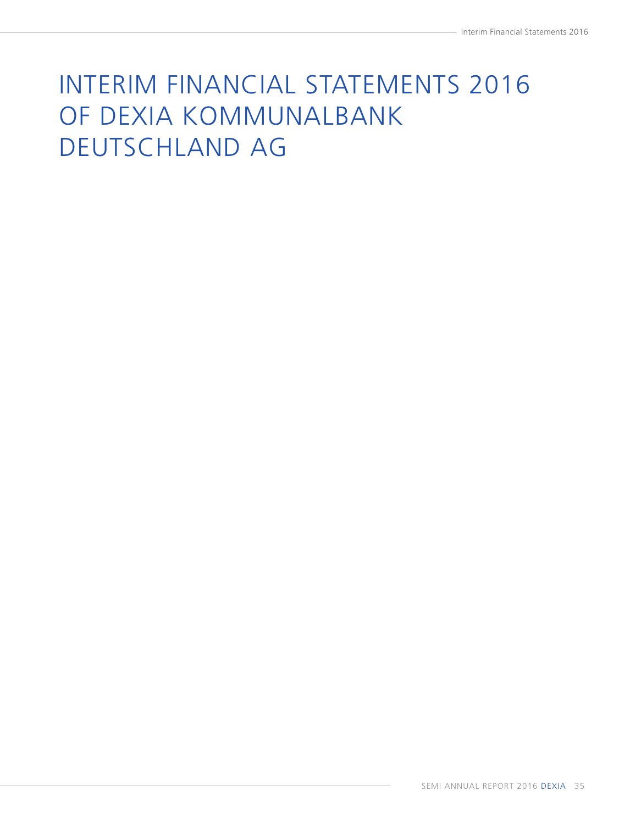# <span id="page-36-0"></span>INTERIM FINANCIAL STATEMENTS 2016 OF DEXIA KOMMUNALBANK DEUTSCHLAND AG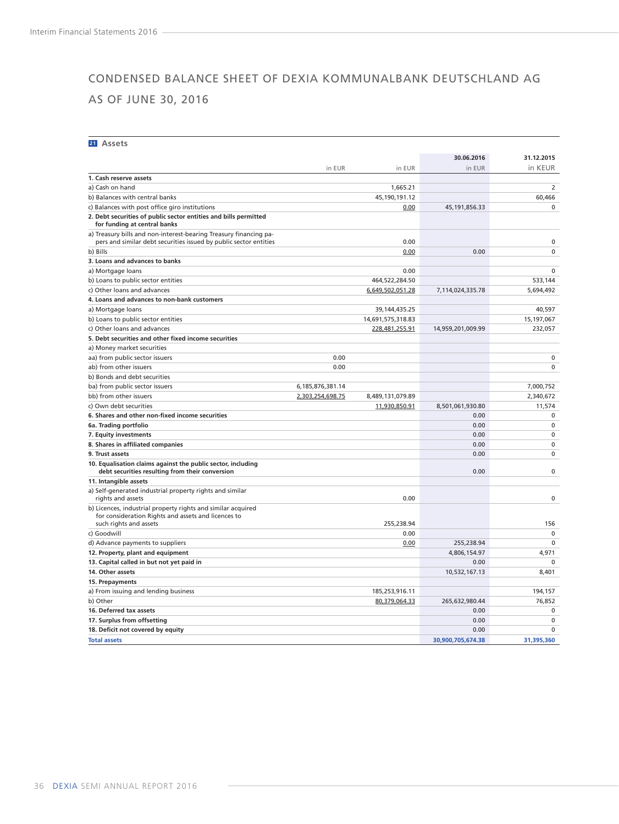## <span id="page-37-0"></span>CONDENSED BALANCE SHEET OF DEXIA KOMMUNALBANK DEUTSCHLAND AG AS OF JUNE 30, 2016

#### **21 Assets**

|                                                                                                                                        |                  |                   | 30.06.2016        | 31.12.2015  |
|----------------------------------------------------------------------------------------------------------------------------------------|------------------|-------------------|-------------------|-------------|
|                                                                                                                                        | in EUR           | in EUR            | in EUR            | in KEUR     |
| 1. Cash reserve assets                                                                                                                 |                  |                   |                   |             |
| a) Cash on hand                                                                                                                        |                  | 1,665.21          |                   | 2           |
| b) Balances with central banks                                                                                                         |                  | 45,190,191.12     |                   | 60.466      |
| c) Balances with post office giro institutions                                                                                         |                  | 0.00              | 45, 191, 856. 33  | $\Omega$    |
| 2. Debt securities of public sector entities and bills permitted                                                                       |                  |                   |                   |             |
| for funding at central banks                                                                                                           |                  |                   |                   |             |
| a) Treasury bills and non-interest-bearing Treasury financing pa-<br>pers and similar debt securities issued by public sector entities |                  | 0.00              |                   | $\Omega$    |
| b) Bills                                                                                                                               |                  | 0.00              | 0.00              | 0           |
| 3. Loans and advances to banks                                                                                                         |                  |                   |                   |             |
| a) Mortgage loans                                                                                                                      |                  | 0.00              |                   | $\mathbf 0$ |
| b) Loans to public sector entities                                                                                                     |                  | 464,522,284.50    |                   | 533,144     |
| c) Other loans and advances                                                                                                            |                  | 6,649,502,051.28  | 7,114,024,335.78  | 5,694,492   |
| 4. Loans and advances to non-bank customers                                                                                            |                  |                   |                   |             |
| a) Mortgage loans                                                                                                                      |                  | 39, 144, 435. 25  |                   | 40,597      |
| b) Loans to public sector entities                                                                                                     |                  | 14,691,575,318.83 |                   | 15,197,067  |
| c) Other loans and advances                                                                                                            |                  | 228,481,255.91    | 14,959,201,009.99 | 232,057     |
| 5. Debt securities and other fixed income securities                                                                                   |                  |                   |                   |             |
| a) Money market securities                                                                                                             |                  |                   |                   |             |
| aa) from public sector issuers                                                                                                         | 0.00             |                   |                   | $\mathbf 0$ |
| ab) from other issuers                                                                                                                 | 0.00             |                   |                   | 0           |
| b) Bonds and debt securities                                                                                                           |                  |                   |                   |             |
| ba) from public sector issuers                                                                                                         | 6,185,876,381.14 |                   |                   | 7,000,752   |
| bb) from other issuers                                                                                                                 | 2,303,254,698.75 | 8,489,131,079.89  |                   | 2,340,672   |
| c) Own debt securities                                                                                                                 |                  | 11,930,850.91     | 8,501,061,930.80  | 11,574      |
| 6. Shares and other non-fixed income securities                                                                                        |                  |                   | 0.00              | $\mathbf 0$ |
| 6a. Trading portfolio                                                                                                                  |                  |                   | 0.00              | 0           |
| 7. Equity investments                                                                                                                  |                  |                   | 0.00              | 0           |
| 8. Shares in affiliated companies                                                                                                      |                  |                   | 0.00              | 0           |
| 9. Trust assets                                                                                                                        |                  |                   | 0.00              | 0           |
| 10. Equalisation claims against the public sector, including<br>debt securities resulting from their conversion                        |                  |                   | 0.00              | 0           |
| 11. Intangible assets                                                                                                                  |                  |                   |                   |             |
| a) Self-generated industrial property rights and similar<br>rights and assets                                                          |                  | 0.00              |                   | $\mathbf 0$ |
| b) Licences, industrial property rights and similar acquired<br>for consideration Rights and assets and licences to                    |                  |                   |                   |             |
| such rights and assets                                                                                                                 |                  | 255.238.94        |                   | 156         |
| c) Goodwill                                                                                                                            |                  | 0.00              |                   | $\mathbf 0$ |
| d) Advance payments to suppliers                                                                                                       |                  | 0.00              | 255,238.94        | $\mathbf 0$ |
| 12. Property, plant and equipment                                                                                                      |                  |                   | 4,806,154.97      | 4,971       |
| 13. Capital called in but not yet paid in                                                                                              |                  |                   | 0.00              | $\mathbf 0$ |
| 14. Other assets                                                                                                                       |                  |                   | 10,532,167.13     | 8,401       |
| 15. Prepayments                                                                                                                        |                  |                   |                   |             |
| a) From issuing and lending business                                                                                                   |                  | 185,253,916.11    |                   | 194,157     |
| b) Other                                                                                                                               |                  | 80,379,064.33     | 265,632,980.44    | 76,852      |
| 16. Deferred tax assets                                                                                                                |                  |                   | 0.00              | $\mathbf 0$ |
| 17. Surplus from offsetting                                                                                                            |                  |                   | 0.00              | 0           |
| 18. Deficit not covered by equity                                                                                                      |                  |                   | 0.00              | $\mathbf 0$ |
| <b>Total assets</b>                                                                                                                    |                  |                   | 30,900,705,674.38 | 31.395.360  |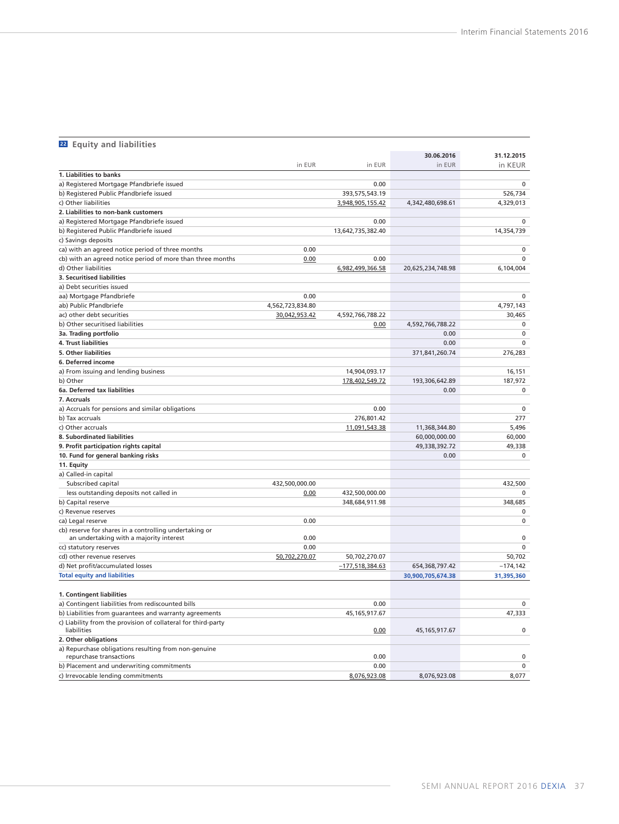### **<sup>22</sup> Equity and liabilities**

|                                                               |                  |                   | 30.06.2016        | 31.12.2015  |
|---------------------------------------------------------------|------------------|-------------------|-------------------|-------------|
|                                                               | in EUR           | in EUR            | in EUR            | in KEUR     |
| 1. Liabilities to banks                                       |                  |                   |                   |             |
| a) Registered Mortgage Pfandbriefe issued                     |                  | 0.00              |                   | $\Omega$    |
| b) Registered Public Pfandbriefe issued                       |                  | 393,575,543.19    |                   | 526,734     |
| c) Other liabilities                                          |                  | 3,948,905,155.42  | 4,342,480,698.61  | 4,329,013   |
| 2. Liabilities to non-bank customers                          |                  |                   |                   |             |
| a) Registered Mortgage Pfandbriefe issued                     |                  | 0.00              |                   | $\mathbf 0$ |
| b) Registered Public Pfandbriefe issued                       |                  | 13,642,735,382.40 |                   | 14,354,739  |
| c) Savings deposits                                           |                  |                   |                   |             |
| ca) with an agreed notice period of three months              | 0.00             |                   |                   | 0           |
| cb) with an agreed notice period of more than three months    | 0.00             | 0.00              |                   | $\Omega$    |
| d) Other liabilities                                          |                  | 6,982,499,366.58  | 20,625,234,748.98 | 6,104,004   |
| 3. Securitised liabilities                                    |                  |                   |                   |             |
| a) Debt securities issued                                     |                  |                   |                   |             |
| aa) Mortgage Pfandbriefe                                      | 0.00             |                   |                   | $\mathbf 0$ |
| ab) Public Pfandbriefe                                        | 4,562,723,834.80 |                   |                   | 4,797,143   |
| ac) other debt securities                                     | 30,042,953.42    | 4,592,766,788.22  |                   | 30,465      |
| b) Other securitised liabilities                              |                  | 0.00              | 4,592,766,788.22  | $\mathbf 0$ |
| 3a. Trading portfolio                                         |                  |                   | 0.00              | $\mathbf 0$ |
| 4. Trust liabilities                                          |                  |                   | 0.00              | $\mathbf 0$ |
| 5. Other liabilities                                          |                  |                   | 371,841,260.74    | 276,283     |
| 6. Deferred income                                            |                  |                   |                   |             |
| a) From issuing and lending business                          |                  | 14,904,093.17     |                   | 16,151      |
| b) Other                                                      |                  | 178,402,549.72    | 193,306,642.89    | 187,972     |
| 6a. Deferred tax liabilities                                  |                  |                   | 0.00              | 0           |
| 7. Accruals                                                   |                  |                   |                   |             |
| a) Accruals for pensions and similar obligations              |                  | 0.00              |                   | $\mathbf 0$ |
| b) Tax accruals                                               |                  | 276,801.42        |                   | 277         |
| c) Other accruals                                             |                  | 11,091,543.38     | 11,368,344.80     | 5,496       |
| 8. Subordinated liabilities                                   |                  |                   | 60,000,000.00     | 60,000      |
| 9. Profit participation rights capital                        |                  |                   | 49,338,392.72     | 49,338      |
| 10. Fund for general banking risks                            |                  |                   | 0.00              | $\mathbf 0$ |
| 11. Equity                                                    |                  |                   |                   |             |
| a) Called-in capital                                          |                  |                   |                   |             |
| Subscribed capital                                            | 432,500,000.00   |                   |                   | 432,500     |
| less outstanding deposits not called in                       | 0.00             | 432,500,000.00    |                   |             |
| b) Capital reserve                                            |                  | 348,684,911.98    |                   | 348,685     |
| c) Revenue reserves                                           |                  |                   |                   | $\mathbf 0$ |
| ca) Legal reserve                                             | 0.00             |                   |                   | $\mathbf 0$ |
| cb) reserve for shares in a controlling undertaking or        |                  |                   |                   |             |
| an undertaking with a majority interest                       | 0.00             |                   |                   | $\mathbf 0$ |
| cc) statutory reserves                                        | 0.00             |                   |                   | $\mathbf 0$ |
| cd) other revenue reserves                                    | 50,702,270.07    | 50,702,270.07     |                   | 50,702      |
| d) Net profit/accumulated losses                              |                  | $-177,518,384.63$ | 654,368,797.42    | $-174, 142$ |
| <b>Total equity and liabilities</b>                           |                  |                   | 30,900,705,674.38 | 31,395,360  |
|                                                               |                  |                   |                   |             |
| 1. Contingent liabilities                                     |                  |                   |                   |             |
| a) Contingent liabilities from rediscounted bills             |                  | 0.00              |                   | 0           |
| b) Liabilities from guarantees and warranty agreements        |                  | 45, 165, 917.67   |                   | 47,333      |
| c) Liability from the provision of collateral for third-party |                  |                   |                   |             |
| liabilities                                                   |                  | 0.00              | 45, 165, 917. 67  | $\pmb{0}$   |
| 2. Other obligations                                          |                  |                   |                   |             |
| a) Repurchase obligations resulting from non-genuine          |                  |                   |                   |             |
| repurchase transactions                                       |                  | 0.00              |                   | $\mathbf 0$ |
| b) Placement and underwriting commitments                     |                  | 0.00              |                   | $\mathbf 0$ |
| c) Irrevocable lending commitments                            |                  | 8,076,923.08      | 8,076,923.08      | 8.077       |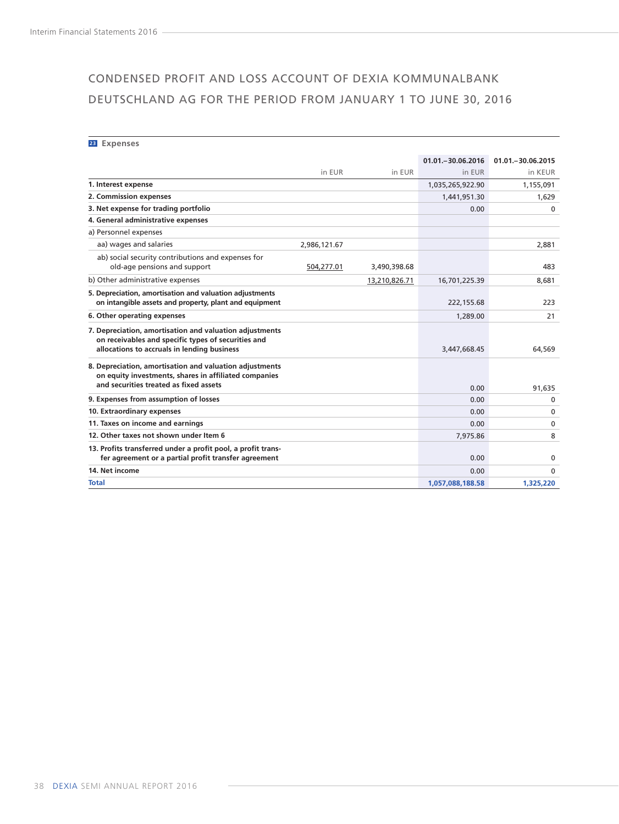## <span id="page-39-0"></span>CONDENSED PROFIT AND LOSS ACCOUNT OF DEXIA KOMMUNALBANK DEUTSCHLAND AG FOR THE PERIOD FROM JANUARY 1 TO JUNE 30, 2016

**<sup>23</sup> Expenses**

|                                                                                                                                                               |              |               | 01.01. - 30.06.2016 | 01.01 .- 30.06.2015 |
|---------------------------------------------------------------------------------------------------------------------------------------------------------------|--------------|---------------|---------------------|---------------------|
|                                                                                                                                                               | in EUR       | in EUR        | in EUR              | in KEUR             |
| 1. Interest expense                                                                                                                                           |              |               | 1,035,265,922.90    | 1,155,091           |
| 2. Commission expenses                                                                                                                                        |              |               | 1,441,951.30        | 1,629               |
| 3. Net expense for trading portfolio                                                                                                                          |              |               | 0.00                | $\mathbf{0}$        |
| 4. General administrative expenses                                                                                                                            |              |               |                     |                     |
| a) Personnel expenses                                                                                                                                         |              |               |                     |                     |
| aa) wages and salaries                                                                                                                                        | 2,986,121.67 |               |                     | 2,881               |
| ab) social security contributions and expenses for<br>old-age pensions and support                                                                            | 504,277.01   | 3,490,398.68  |                     | 483                 |
| b) Other administrative expenses                                                                                                                              |              | 13,210,826.71 | 16,701,225.39       | 8,681               |
| 5. Depreciation, amortisation and valuation adjustments<br>on intangible assets and property, plant and equipment                                             |              |               | 222, 155.68         | 223                 |
| 6. Other operating expenses                                                                                                                                   |              |               | 1,289.00            | 21                  |
| 7. Depreciation, amortisation and valuation adjustments<br>on receivables and specific types of securities and<br>allocations to accruals in lending business |              |               | 3,447,668.45        | 64.569              |
| 8. Depreciation, amortisation and valuation adjustments<br>on equity investments, shares in affiliated companies<br>and securities treated as fixed assets    |              |               | 0.00                | 91,635              |
| 9. Expenses from assumption of losses                                                                                                                         |              |               | 0.00                | $\mathbf{0}$        |
| 10. Extraordinary expenses                                                                                                                                    |              |               | 0.00                | $\Omega$            |
| 11. Taxes on income and earnings                                                                                                                              |              |               | 0.00                | $\Omega$            |
| 12. Other taxes not shown under Item 6                                                                                                                        |              |               | 7,975.86            | 8                   |
| 13. Profits transferred under a profit pool, a profit trans-<br>fer agreement or a partial profit transfer agreement                                          |              |               | 0.00                | $\mathbf 0$         |
| 14. Net income                                                                                                                                                |              |               | 0.00                | $\mathbf{0}$        |
| Total                                                                                                                                                         |              |               | 1,057,088,188.58    | 1,325,220           |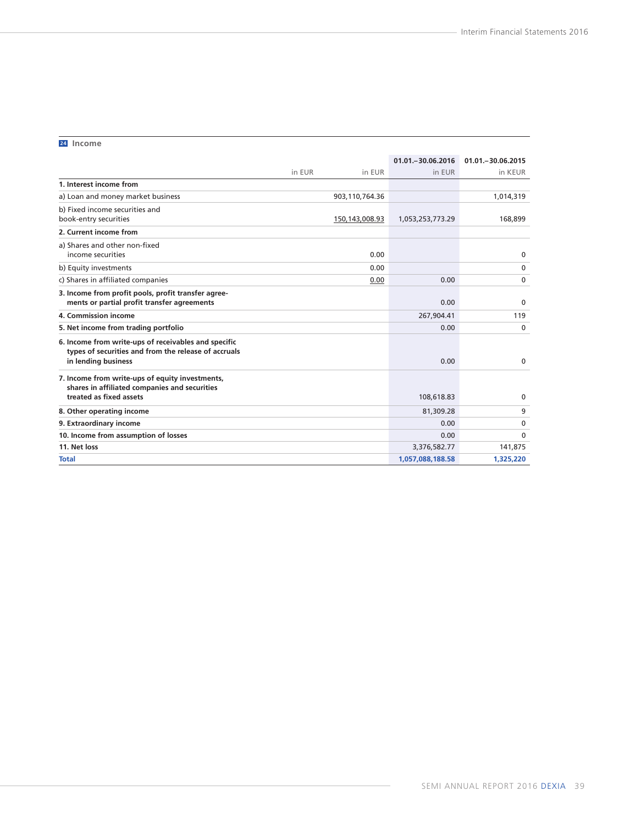#### **<sup>24</sup> Income**

|                                                                                                                                     |                  | 01.01. - 30.06.2016 | 01.01. - 30.06.2015 |
|-------------------------------------------------------------------------------------------------------------------------------------|------------------|---------------------|---------------------|
|                                                                                                                                     | in EUR<br>in EUR | in EUR              | in KEUR             |
| 1. Interest income from                                                                                                             |                  |                     |                     |
| a) Loan and money market business                                                                                                   | 903,110,764.36   |                     | 1,014,319           |
| b) Fixed income securities and<br>book-entry securities                                                                             | 150, 143, 008.93 | 1,053,253,773.29    | 168,899             |
| 2. Current income from                                                                                                              |                  |                     |                     |
| a) Shares and other non-fixed<br>income securities                                                                                  | 0.00             |                     | 0                   |
| b) Equity investments                                                                                                               | 0.00             |                     | 0                   |
| c) Shares in affiliated companies                                                                                                   | 0.00             | 0.00                | $\mathbf{0}$        |
| 3. Income from profit pools, profit transfer agree-<br>ments or partial profit transfer agreements                                  |                  | 0.00                | $\mathbf 0$         |
| 4. Commission income                                                                                                                |                  | 267,904.41          | 119                 |
| 5. Net income from trading portfolio                                                                                                |                  | 0.00                | 0                   |
| 6. Income from write-ups of receivables and specific<br>types of securities and from the release of accruals<br>in lending business |                  | 0.00                | $\mathbf{0}$        |
| 7. Income from write-ups of equity investments,<br>shares in affiliated companies and securities<br>treated as fixed assets         |                  | 108,618.83          | $\mathbf{0}$        |
| 8. Other operating income                                                                                                           |                  | 81,309.28           | 9                   |
| 9. Extraordinary income                                                                                                             |                  | 0.00                | 0                   |
| 10. Income from assumption of losses                                                                                                |                  | 0.00                | $\Omega$            |
| 11. Net loss                                                                                                                        |                  | 3,376,582.77        | 141,875             |
| <b>Total</b>                                                                                                                        |                  | 1,057,088,188.58    | 1,325,220           |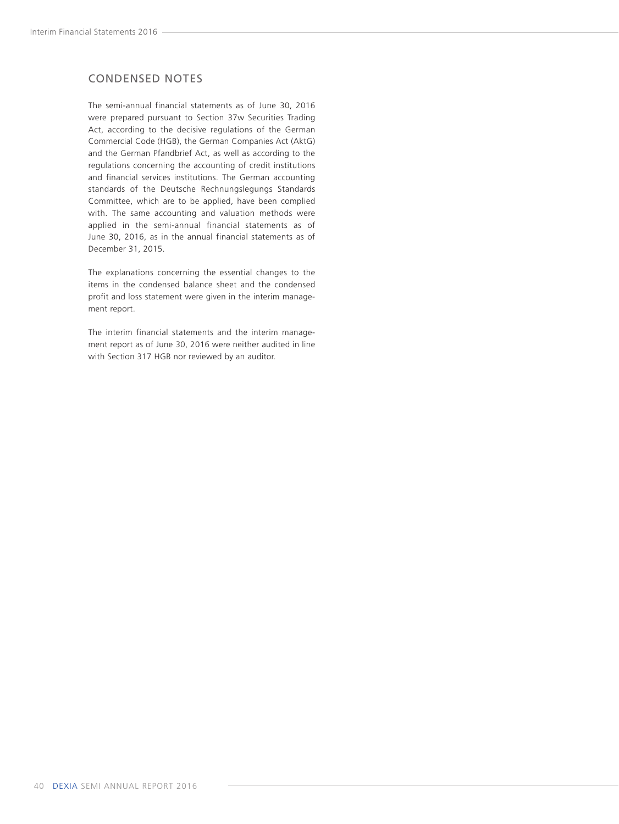## <span id="page-41-0"></span>CONDENSED NOTES

The semi-annual financial statements as of June 30, 2016 were prepared pursuant to Section 37w Securities Trading Act, according to the decisive regulations of the German Commercial Code (HGB), the German Companies Act (AktG) and the German Pfandbrief Act, as well as according to the regulations concerning the accounting of credit institutions and financial services institutions. The German accounting standards of the Deutsche Rechnungslegungs Standards Committee, which are to be applied, have been complied with. The same accounting and valuation methods were applied in the semi-annual financial statements as of June 30, 2016, as in the annual financial statements as of December 31, 2015.

The explanations concerning the essential changes to the items in the condensed balance sheet and the condensed profit and loss statement were given in the interim management report.

The interim financial statements and the interim management report as of June 30, 2016 were neither audited in line with Section 317 HGB nor reviewed by an auditor.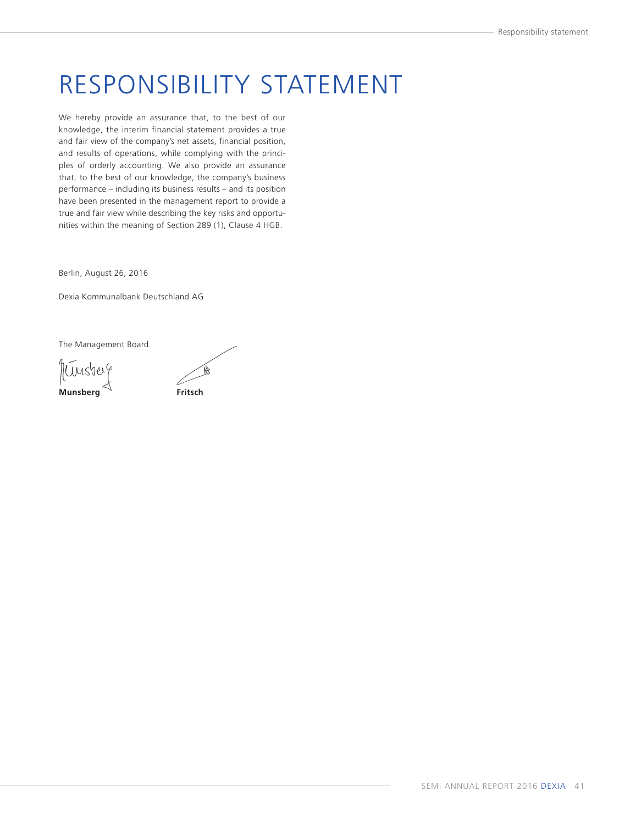## <span id="page-42-0"></span>RESPONSIBILITY STATEMENT

We hereby provide an assurance that, to the best of our knowledge, the interim financial statement provides a true and fair view of the company's net assets, financial position, and results of operations, while complying with the principles of orderly accounting. We also provide an assurance that, to the best of our knowledge, the company's business performance – including its business results – and its position have been presented in the management report to provide a true and fair view while describing the key risks and opportunities within the meaning of Section 289 (1), Clause 4 HGB.

Berlin, August 26, 2016

Dexia Kommunalbank Deutschland AG

The Management Board

Nunsberg **Munsberg Fritsch**